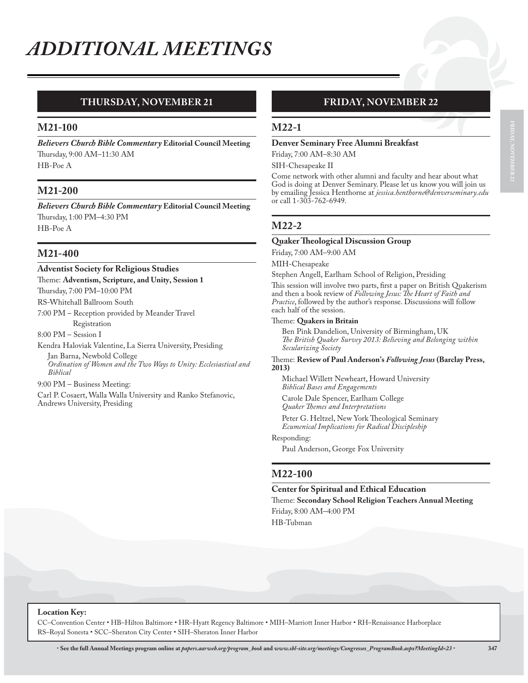# **THURSDAY, NOVEMBER 21**

## **M21-100**

*Believers Church Bible Commentary* **Editorial Council Meeting** Thursday, 9:00 AM–11:30 AM HB-Poe A

## **M21-200**

*Believers Church Bible Commentary* **Editorial Council Meeting** Thursday, 1:00 PM–4:30 PM HB-Poe A

## **M21-400**

# **Adventist Society for Religious Studies**

Theme: **Adventism, Scripture, and Unity, Session 1**

Thursday, 7:00 PM–10:00 PM

RS-Whitehall Ballroom South 7:00 PM – Reception provided by Meander Travel

Registration

8:00 PM – Session I

Kendra Haloviak Valentine, La Sierra University, Presiding Jan Barna, Newbold College *Ordination of Women and the Two Ways to Unity: Ecclesiastical and Biblical*

9:00 PM – Business Meeting:

Carl P. Cosaert, Walla Walla University and Ranko Stefanovic, Andrews University, Presiding

# **FRIDAY, NOVEMBER 22**

## **M22-1**

### **Denver Seminary Free Alumni Breakfast**

Friday, 7:00 AM–8:30 AM SIH-Chesapeake II

Come network with other alumni and faculty and hear about what God is doing at Denver Seminary. Please let us know you will join us by emailing Jessica Henthorne at *jessica.henthorne@denverseminary.edu* or call 1-303-762-6949.

# **M22-2**

#### **Quaker Theological Discussion Group**

Friday, 7:00 AM–9:00 AM

MIH-Chesapeake

Stephen Angell, Earlham School of Religion, Presiding

This session will involve two parts, first a paper on British Quakerism and then a book review of *Following Jesus: The Heart of Faith and Practice*, followed by the author's response. Discussions will follow each half of the session.

#### Theme: **Quakers in Britain**

Ben Pink Dandelion, University of Birmingham, UK *The British Quaker Survey 2013: Believing and Belonging within Secularizing Society*

Theme: **Review of Paul Anderson's** *Following Jesus* **(Barclay Press, 2013)** 

Michael Willett Newheart, Howard University *Biblical Bases and Engagements*

Carole Dale Spencer, Earlham College *Quaker Themes and Interpretations*

Peter G. Heltzel, New York Theological Seminary *Ecumenical Implications for Radical Discipleship*

#### Responding:

Paul Anderson, George Fox University

## **M22-100**

**Center for Spiritual and Ethical Education**

Theme: **Secondary School Religion Teachers Annual Meeting** Friday, 8:00 AM–4:00 PM

HB-Tubman

**FRIDAY, NOVEMBER 22**

**Location Key:**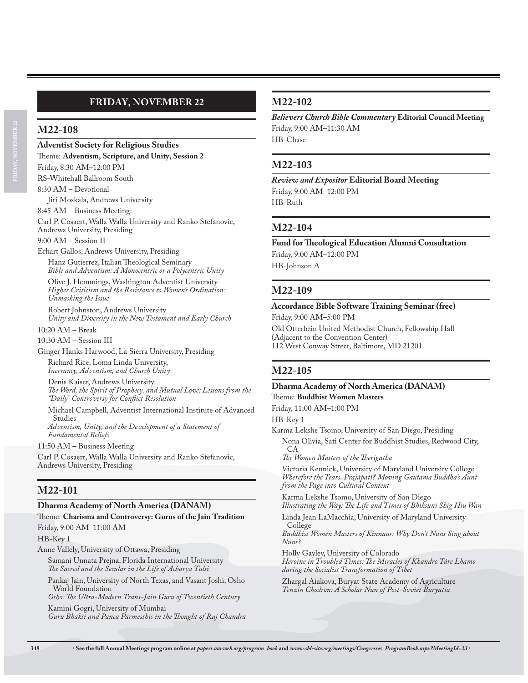# **FRIDAY, NOVEMBER 22**

### **M22-108**

**Adventist Society for Religious Studies**

Theme: **Adventism, Scripture, and Unity, Session 2**

Friday, 8:30 AM–12:00 PM RS-Whitehall Ballroom South

8:30 AM – Devotional

Jiri Moskala, Andrews University

8:45 AM – Business Meeting:

Carl P. Cosaert, Walla Walla University and Ranko Stefanovic, Andrews University, Presiding

9:00 AM – Session II

Erhart Gallos, Andrews University, Presiding Hanz Gutierrez, Italian Theological Seminary *Bible and Adventism: A Monocentric or a Polycentric Unity*

Olive J. Hemmings, Washington Adventist University *Higher Criticism and the Resistance to Women's Ordination: Unmasking the Issue*

Robert Johnston, Andrews University *Unity and Diversity in the New Testament and Early Church*

10:20 AM – Break

10:30 AM – Session III

Ginger Hanks Harwood, La Sierra University, Presiding Richard Rice, Loma Linda University,

*Inerrancy, Adventism, and Church Unity*

Denis Kaiser, Andrews University *The Word, the Spirit of Prophecy, and Mutual Love: Lessons from the "Daily" Controversy for Conflict Resolution*

Michael Campbell, Adventist International Institute of Advanced Studies *Adventism, Unity, and the Development of a Statement of* 

*Fundamental Beliefs*

11:50 AM – Business Meeting

Carl P. Cosaert, Walla Walla University and Ranko Stefanovic, Andrews University, Presiding

# **M22-101**

### **Dharma Academy of North America (DANAM)**

Theme: **Charisma and Controversy: Gurus of the Jain Tradition**

Friday, 9:00 AM–11:00 AM

HB-Key 1

Anne Vallely, University of Ottawa, Presiding

Samani Unnata Prejna, Florida International University *The Sacred and the Secular in the Life of Acharya Tulsi*

Pankaj Jain, University of North Texas, and Vasant Joshi, Osho World Foundation

*Osho: The Ultra-Modern Trans-Jain Guru of Twentieth Century* Kamini Gogri, University of Mumbai

*Guru Bhakti and Panca Parmesthis in the Thought of Raj Chandra*

## **M22-102**

*Believers Church Bible Commentary* **Editorial Council Meeting** Friday, 9:00 AM–11:30 AM HB-Chase

## **M22-103**

*Review and Expositor* **Editorial Board Meeting** Friday, 9:00 AM–12:00 PM HB-Ruth

## **M22-104**

**Fund for Theological Education Alumni Consultation** Friday, 9:00 AM–12:00 PM HB-Johnson A

## **M22-109**

### **Accordance Bible Software Training Seminar (free)**

Friday, 9:00 AM–5:00 PM

Old Otterbein United Methodist Church, Fellowship Hall (Adjacent to the Convention Center) 112 West Conway Street, Baltimore, MD 21201

## **M22-105**

### **Dharma Academy of North America (DANAM)**

Theme: **Buddhist Women Masters**

Friday, 11:00 AM–1:00 PM

HB-Key 1

Karma Lekshe Tsomo, University of San Diego, Presiding

Nona Olivia, Sati Center for Buddhist Studies, Redwood City, CA

*The Women Masters of the Therigatha*

Victoria Kennick, University of Maryland University College *Wherefore the Tears, Prajāpatī? Moving Gautama Buddha's Aunt from the Page into Cultural Context*

Karma Lekshe Tsomo, University of San Diego *Illustrating the Way: The Life and Times of Bhiksuni Shig Hiu Wan*

Linda Jean LaMacchia, University of Maryland University College

*Buddhist Women Masters of Kinnaur: Why Don't Nuns Sing about Nuns?*

Holly Gayley, University of Colorado *Heroine in Troubled Times: The Miracles of Khandro Tāre Lhamo during the Socialist Transformation of Tibet*

Zhargal Aiakova, Buryat State Academy of Agriculture *Tenzin Chodron: A Scholar Nun of Post-Soviet Buryatia*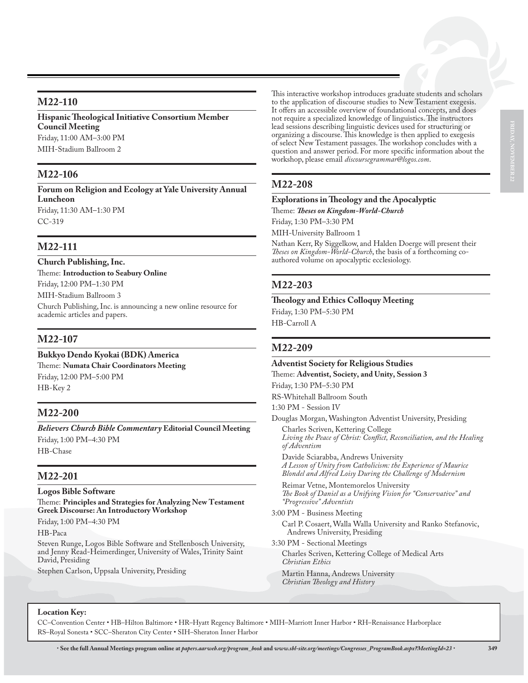## **M22-110**

**Hispanic Theological Initiative Consortium Member Council Meeting** Friday, 11:00 AM–3:00 PM MIH-Stadium Ballroom 2

# **M22-106**

**Forum on Religion and Ecology at Yale University Annual Luncheon** Friday, 11:30 AM–1:30 PM CC-319

# **M22-111**

**Church Publishing, Inc.** Theme: **Introduction to Seabury Online** Friday, 12:00 PM–1:30 PM MIH-Stadium Ballroom 3 Church Publishing, Inc. is announcing a new online resource for academic articles and papers.

# **M22-107**

**Bukkyo Dendo Kyokai (BDK) America** Theme: **Numata Chair Coordinators Meeting** Friday, 12:00 PM–5:00 PM HB-Key 2

# **M22-200**

*Believers Church Bible Commentary* **Editorial Council Meeting** Friday, 1:00 PM–4:30 PM HB-Chase

## **M22-201**

**Logos Bible Software** Theme: **Principles and Strategies for Analyzing New Testament Greek Discourse: An Introductory Workshop**

Friday, 1:00 PM–4:30 PM

HB-Paca

Steven Runge, Logos Bible Software and Stellenbosch University, and Jenny Read-Heimerdinger, University of Wales, Trinity Saint David, Presiding

Stephen Carlson, Uppsala University, Presiding

This interactive workshop introduces graduate students and scholars to the application of discourse studies to New Testament exegesis. It offers an accessible overview of foundational concepts, and does not require a specialized knowledge of linguistics. The instructors lead sessions describing linguistic devices used for structuring or organizing a discourse. This knowledge is then applied to exegesis of select New Testament passages. The workshop concludes with a question and answer period. For more specific information about the workshop, please email *discoursegrammar@logos.com*.

## **M22-208**

## **Explorations in Theology and the Apocalyptic**

Theme: *Theses on Kingdom-World-Church*

Friday, 1:30 PM–3:30 PM

MIH-University Ballroom 1

Nathan Kerr, Ry Siggelkow, and Halden Doerge will present their *Theses on Kingdom-World-Church*, the basis of a forthcoming coauthored volume on apocalyptic ecclesiology.

## **M22-203**

**Theology and Ethics Colloquy Meeting** Friday, 1:30 PM–5:30 PM HB-Carroll A

## **M22-209**

**Adventist Society for Religious Studies** Theme: **Adventist, Society, and Unity, Session 3** Friday, 1:30 PM–5:30 PM RS-Whitehall Ballroom South 1:30 PM - Session IV Douglas Morgan, Washington Adventist University, Presiding Charles Scriven, Kettering College *Living the Peace of Christ: Conflict, Reconciliation, and the Healing of Adventism* Davide Sciarabba, Andrews University *A Lesson of Unity from Catholicism: the Experience of Maurice Blondel and Alfred Loisy During the Challenge of Modernism* Reimar Vetne, Montemorelos University *The Book of Daniel as a Unifying Vision for "Conservative" and "Progressive" Adventists* 3:00 PM - Business Meeting Carl P. Cosaert, Walla Walla University and Ranko Stefanovic, Andrews University, Presiding 3:30 PM - Sectional Meetings Charles Scriven, Kettering College of Medical Arts *Christian Ethics* Martin Hanna, Andrews University *Christian Theology and History*

### **Location Key:**

CC–Convention Center • HB–Hilton Baltimore • HR–Hyatt Regency Baltimore • MIH–Marriott Inner Harbor • RH–Renaissance Harborplace RS–Royal Sonesta • SCC–Sheraton City Center • SIH–Sheraton Inner Harbor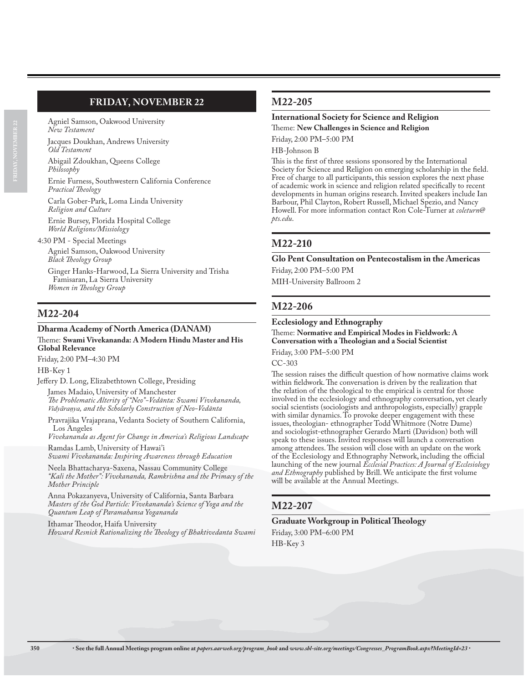# **FRIDAY, NOVEMBER 22**

Agniel Samson, Oakwood University *New Testament*

Jacques Doukhan, Andrews University *Old Testament*

Abigail Zdoukhan, Queens College *Philosophy*

Ernie Furness, Southwestern California Conference *Practical Theology*

Carla Gober-Park, Loma Linda University *Religion and Culture*

Ernie Bursey, Florida Hospital College *World Religions/Missiology*

4:30 PM - Special Meetings

Agniel Samson, Oakwood University *Black Theology Group*

Ginger Hanks-Harwood, La Sierra University and Trisha Famisaran, La Sierra University *Women in Theology Group*

# **M22-204**

#### **Dharma Academy of North America (DANAM)** Theme: **Swami Vivekananda: A Modern Hindu Master and His Global Relevance**

Friday, 2:00 PM–4:30 PM

HB-Key 1

Jeffery D. Long, Elizabethtown College, Presiding

James Madaio, University of Manchester *The Problematic Alterity of "Neo"-Vedānta: Swami Vivekananda, 9LG\ƘUDΧ\D, and the Scholarly Construction of Neo-Vedānta*

Pravrajika Vrajaprana, Vedanta Society of Southern California, Los Angeles

*Vivekananda as Agent for Change in America's Religious Landscape*

Ramdas Lamb, University of Hawai'i *Swami Vivekananda: Inspiring Awareness through Education*

Neela Bhattacharya-Saxena, Nassau Community College *"Kali the Mother": Vivekananda, Ramkrishna and the Primacy of the Mother Principle*

Anna Pokazanyeva, University of California, Santa Barbara *Masters of the God Particle: Vivekananda's Science of Yoga and the Quantum Leap of Paramahansa Yogananda*

Ithamar Theodor, Haifa University *Howard Resnick Rationalizing the Theology of Bhaktivedanta Swami*

## **M22-205**

# **International Society for Science and Religion**

Theme: **New Challenges in Science and Religion**

Friday, 2:00 PM–5:00 PM

HB-Johnson B

This is the first of three sessions sponsored by the International Society for Science and Religion on emerging scholarship in the field. Free of charge to all participants, this session explores the next phase of academic work in science and religion related specifically to recent developments in human origins research. Invited speakers include Ian Barbour, Phil Clayton, Robert Russell, Michael Spezio, and Nancy Howell. For more information contact Ron Cole-Turner at *coleturn@ pts.edu*.

## **M22-210**

### **Glo Pent Consultation on Pentecostalism in the Americas** Friday, 2:00 PM–5:00 PM

MIH-University Ballroom 2

## **M22-206**

### **Ecclesiology and Ethnography**

Theme: **Normative and Empirical Modes in Fieldwork: A Conversation with a Theologian and a Social Scientist**

Friday, 3:00 PM–5:00 PM

CC-303

The session raises the difficult question of how normative claims work within fieldwork. The conversation is driven by the realization that the relation of the theological to the empirical is central for those involved in the ecclesiology and ethnography conversation, yet clearly social scientists (sociologists and anthropologists, especially) grapple with similar dynamics. To provoke deeper engagement with these issues, theologian- ethnographer Todd Whitmore (Notre Dame) and sociologist-ethnographer Gerardo Marti (Davidson) both will speak to these issues. Invited responses will launch a conversation among attendees. The session will close with an update on the work of the Ecclesiology and Ethnography Network, including the official launching of the new journal *Ecclesial Practices: A Journal of Ecclesiology and Ethnography* published by Brill. We anticipate the first volume will be available at the Annual Meetings.

# **M22-207**

## **Graduate Workgroup in Political Theology**

Friday, 3:00 PM–6:00 PM HB-Key 3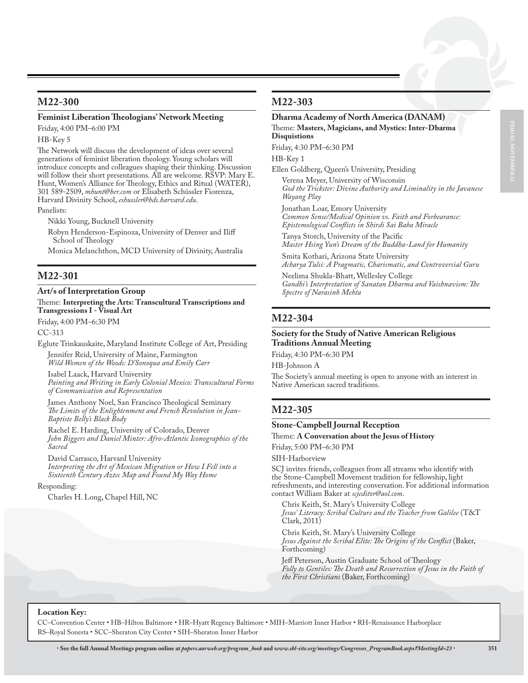## **M22-300**

### **Feminist Liberation Theologians' Network Meeting**

Friday, 4:00 PM–6:00 PM

HB-Key 5

The Network will discuss the development of ideas over several generations of feminist liberation theology. Young scholars will introduce concepts and colleagues shaping their thinking. Discussion will follow their short presentations. All are welcome. RSVP: Mary E. Hunt, Women's Alliance for Theology, Ethics and Ritual (WATER), 301 589-2509, *mhunt@her.com* or Elisabeth Schüssler Fiorenza, Harvard Divinity School, *eshussler@hds.harvard.edu*.

Panelists:

Nikki Young, Bucknell University

Robyn Henderson-Espinoza, University of Denver and Iliff School of Theology

Monica Melanchthon, MCD University of Divinity, Australia

## **M22-301**

#### **Art/s of Interpretation Group**

Theme: **Interpreting the Arts: Transcultural Transcriptions and Transgressions I - Visual Art**

Friday, 4:00 PM–6:30 PM

CC-313

Eglute Trinkauskaite, Maryland Institute College of Art, Presiding

Jennifer Reid, University of Maine, Farmington *Wild Women of the Woods: D'Sonoqua and Emily Carr*

Isabel Laack, Harvard University *Painting and Writing in Early Colonial Mexico: Transcultural Forms of Communication and Representation*

James Anthony Noel, San Francisco Theological Seminary *The Limits of the Enlightenment and French Revolution in Jean-Baptiste Belly's Black Body*

Rachel E. Harding, University of Colorado, Denver *John Biggers and Daniel Minter: Afro-Atlantic Iconographies of the Sacred*

David Carrasco, Harvard University *Interpreting the Art of Mexican Migration or How I Fell into a Sixteenth Century Aztec Map and Found My Way Home*

#### Responding:

Charles H. Long, Chapel Hill, NC

## **M22-303**

#### **Dharma Academy of North America (DANAM)** Theme: **Masters, Magicians, and Mystics: Inter-Dharma Disquistions**

Friday, 4:30 PM–6:30 PM

HB-Key 1

Ellen Goldberg, Queen's University, Presiding

Verena Meyer, University of Wisconsin *God the Trickster: Divine Authority and Liminality in the Javanese Wayang Play*

Jonathan Loar, Emory University *Common Sense/Medical Opinion vs. Faith and Forbearance: Epistemological Conflicts in Shirdi Sai Baba Miracle*

Tanya Storch, University of the Pacific *Master Hsing Yun's Dream of the Buddha-Land for Humanity*

Smita Kothari, Arizona State University *Acharya Tulsi: A Pragmatic, Charismatic, and Controversial Guru*

Neelima Shukla-Bhatt, Wellesley College *Gandhi's Interpretation of Sanatan Dharma and Vaishnavism: The Spectre of Narasinh Mehta*

## **M22-304**

#### **Society for the Study of Native American Religious Traditions Annual Meeting**

Friday, 4:30 PM–6:30 PM

HB-Johnson A

The Society's annual meeting is open to anyone with an interest in Native American sacred traditions.

## **M22-305**

#### **Stone-Campbell Journal Reception**

#### Theme: **A Conversation about the Jesus of History**

Friday, 5:00 PM–6:30 PM

SIH-Harborview

SCJ invites friends, colleagues from all streams who identify with the Stone-Campbell Movement tradition for fellowship, light refreshments, and interesting conversation. For additional information contact William Baker at *scjeditor@aol.com*.

Chris Keith, St. Mary's University College *Jesus' Literacy: Scribal Culture and the Teacher from Galilee* (T&T Clark, 2011)

Chris Keith, St. Mary's University College *Jesus Against the Scribal Elite: The Origins of the Conflict* (Baker, Forthcoming)

Jeff Peterson, Austin Graduate School of Theology *Folly to Gentiles: The Death and Resurrection of Jesus in the Faith of the First Christians* (Baker, Forthcoming)

#### **Location Key:**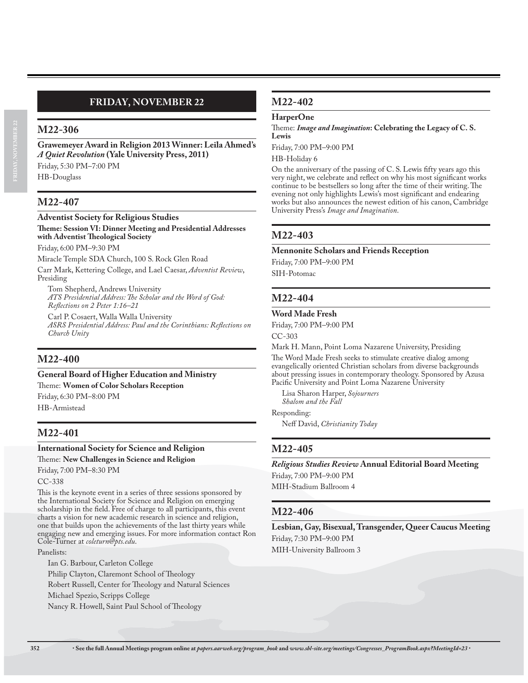# **FRIDAY, NOVEMBER 22**

## **M22-306**

**Grawemeyer Award in Religion 2013 Winner: Leila Ahmed's**  *A Quiet Revolution* **(Yale University Press, 2011)** Friday, 5:30 PM–7:00 PM HB-Douglass

### **M22-407**

#### **Adventist Society for Religious Studies Theme: Session VI: Dinner Meeting and Presidential Addresses with Adventist Theological Society**

Friday, 6:00 PM–9:30 PM

Miracle Temple SDA Church, 100 S. Rock Glen Road Carr Mark, Kettering College, and Lael Caesar, *Adventist Review*, Presiding

Tom Shepherd, Andrews University *ATS Presidential Address: The Scholar and the Word of God: Reflections on 2 Peter 1:16–21*

Carl P. Cosaert, Walla Walla University *ASRS Presidential Address: Paul and the Corinthians: Reflections on Church Unity*

## **M22-400**

## **General Board of Higher Education and Ministry**

Theme: **Women of Color Scholars Reception**

Friday, 6:30 PM–8:00 PM

HB-Armistead

## **M22-401**

## **International Society for Science and Religion**

Theme: **New Challenges in Science and Religion**

Friday, 7:00 PM–8:30 PM

### CC-338

This is the keynote event in a series of three sessions sponsored by the International Society for Science and Religion on emerging scholarship in the field. Free of charge to all participants, this event charts a vision for new academic research in science and religion, one that builds upon the achievements of the last thirty years while engaging new and emerging issues. For more information contact Ron Cole-Turner at *coleturn@pts.edu*.

#### Panelists:

Ian G. Barbour, Carleton College Philip Clayton, Claremont School of Theology Robert Russell, Center for Theology and Natural Sciences Michael Spezio, Scripps College Nancy R. Howell, Saint Paul School of Theology

### **M22-402**

#### **HarperOne**

Theme: *Image and Imagination***: Celebrating the Legacy of C. S. Lewis**

Friday, 7:00 PM–9:00 PM

HB-Holiday 6

On the anniversary of the passing of C. S. Lewis fifty years ago this very night, we celebrate and reflect on why his most significant works continue to be bestsellers so long after the time of their writing. The evening not only highlights Lewis's most significant and endearing works but also announces the newest edition of his canon, Cambridge University Press's *Image and Imagination*.

### **M22-403**

#### **Mennonite Scholars and Friends Reception**

Friday, 7:00 PM–9:00 PM

SIH-Potomac

## **M22-404**

#### **Word Made Fresh**

Friday, 7:00 PM–9:00 PM

CC-303

Mark H. Mann, Point Loma Nazarene University, Presiding The Word Made Fresh seeks to stimulate creative dialog among evangelically oriented Christian scholars from diverse backgrounds about pressing issues in contemporary theology. Sponsored by Azusa Pacific University and Point Loma Nazarene University

Lisa Sharon Harper, *Sojourners Shalom and the Fall*

Responding:

Neff David, *Christianity Today*

## **M22-405**

*Religious Studies Review* **Annual Editorial Board Meeting** Friday, 7:00 PM–9:00 PM

MIH-Stadium Ballroom 4

### **M22-406**

**Lesbian, Gay, Bisexual, Transgender, Queer Caucus Meeting** Friday, 7:30 PM–9:00 PM MIH-University Ballroom 3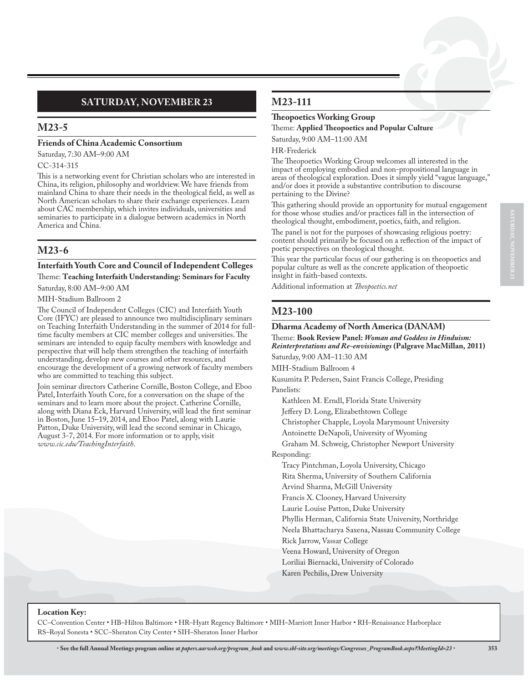# **SATURDAY, NOVEMBER 23**

## **M23-5**

#### **Friends of China Academic Consortium**

Saturday, 7:30 AM–9:00 AM CC-314-315

This is a networking event for Christian scholars who are interested in China, its religion, philosophy and worldview. We have friends from mainland China to share their needs in the theological field, as well as North American scholars to share their exchange experiences. Learn about CAC membership, which invites individuals, universities and seminaries to participate in a dialogue between academics in North America and China.

# **M23-6**

### **Interfaith Youth Core and Council of Independent Colleges** Theme: **Teaching Interfaith Understanding: Seminars for Faculty**

Saturday, 8:00 AM–9:00 AM

#### MIH-Stadium Ballroom 2

The Council of Independent Colleges (CIC) and Interfaith Youth Core (IFYC) are pleased to announce two multidisciplinary seminars on Teaching Interfaith Understanding in the summer of 2014 for fulltime faculty members at CIC member colleges and universities. The seminars are intended to equip faculty members with knowledge and perspective that will help them strengthen the teaching of interfaith understanding, develop new courses and other resources, and encourage the development of a growing network of faculty members who are committed to teaching this subject.

Join seminar directors Catherine Cornille, Boston College, and Eboo Patel, Interfaith Youth Core, for a conversation on the shape of the seminars and to learn more about the project. Catherine Cornille, along with Diana Eck, Harvard University, will lead the first seminar in Boston, June 15–19, 2014, and Eboo Patel, along with Laurie Patton, Duke University, will lead the second seminar in Chicago, August 3-7, 2014. For more information or to apply, visit *www.cic.edu/TeachingInterfaith*.

# **M23-111**

### **Theopoetics Working Group**

Theme: **Applied Theopoetics and Popular Culture** Saturday, 9:00 AM–11:00 AM

## HR-Frederick

The Theopoetics Working Group welcomes all interested in the impact of employing embodied and non-propositional language in areas of theological exploration. Does it simply yield "vague language," and/or does it provide a substantive contribution to discourse pertaining to the Divine?

This gathering should provide an opportunity for mutual engagement for those whose studies and/or practices fall in the intersection of theological thought, embodiment, poetics, faith, and religion.

The panel is not for the purposes of showcasing religious poetry: content should primarily be focused on a reflection of the impact of poetic perspectives on theological thought.

This year the particular focus of our gathering is on theopoetics and popular culture as well as the concrete application of theopoetic insight in faith-based contexts.

Additional information at *Theopoetics.net*

# **M23-100**

### **Dharma Academy of North America (DANAM)**

Theme: **Book Review Panel:** *Woman and Goddess in Hinduism: Reinterpretations and Re-envisionings* **(Palgrave MacMillan, 2011)** Saturday, 9:00 AM–11:30 AM

MIH-Stadium Ballroom 4

Kusumita P. Pedersen, Saint Francis College, Presiding Panelists:

Kathleen M. Erndl, Florida State University

Jeffery D. Long, Elizabethtown College

Christopher Chapple, Loyola Marymount University

Antoinette DeNapoli, University of Wyoming

Graham M. Schweig, Christopher Newport University

Responding:

Tracy Pintchman, Loyola University, Chicago

Rita Sherma, University of Southern California

Arvind Sharma, McGill University

Francis X. Clooney, Harvard University

Laurie Louise Patton, Duke University

Phyllis Herman, California State University, Northridge

Neela Bhattacharya Saxena, Nassau Community College

Rick Jarrow, Vassar College

- Veena Howard, University of Oregon
- Loriliai Biernacki, University of Colorado
- Karen Pechilis, Drew University

### **Location Key:**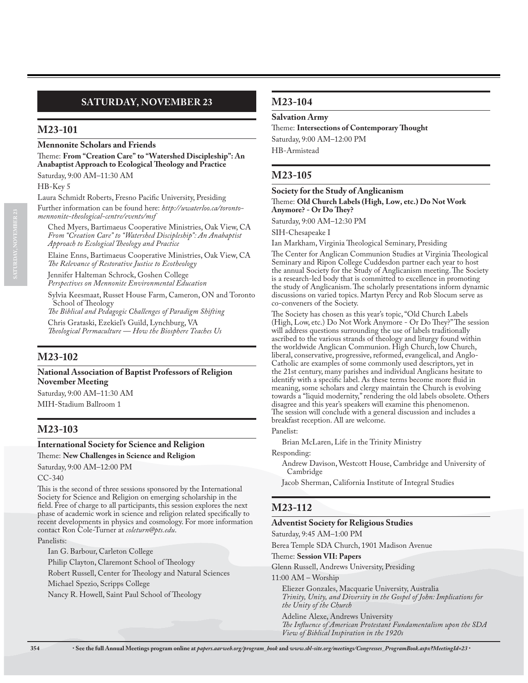### **Mennonite Scholars and Friends**

Theme: **From "Creation Care" to "Watershed Discipleship": An Anabaptist Approach to Ecological Theology and Practice** Saturday, 9:00 AM–11:30 AM

HB-Key 5

**SATURDAY, NOVEMBER 23**

Laura Schmidt Roberts, Fresno Pacific University, Presiding

Further information can be found here: *http://uwaterloo.ca/torontomennonite-theological-centre/events/msf*

Ched Myers, Bartimaeus Cooperative Ministries, Oak View, CA *From "Creation Care" to "Watershed Discipleship": An Anabaptist Approach to Ecological Theology and Practice*

Elaine Enns, Bartimaeus Cooperative Ministries, Oak View, CA *The Relevance of Restorative Justice to Ecotheology*

Jennifer Halteman Schrock, Goshen College *Perspectives on Mennonite Environmental Education*

Sylvia Keesmaat, Russet House Farm, Cameron, ON and Toronto School of Theology

*The Biblical and Pedagogic Challenges of Paradigm Shifting* Chris Grataski, Ezekiel's Guild, Lynchburg, VA

*Theological Permaculture — How the Biosphere Teaches Us*

# **M23-102**

**National Association of Baptist Professors of Religion November Meeting**

Saturday, 9:00 AM–11:30 AM MIH-Stadium Ballroom 1

# **M23-103**

### **International Society for Science and Religion**

Theme: **New Challenges in Science and Religion**

Saturday, 9:00 AM–12:00 PM

CC-340

This is the second of three sessions sponsored by the International Society for Science and Religion on emerging scholarship in the field. Free of charge to all participants, this session explores the next phase of academic work in science and religion related specifically to recent developments in physics and cosmology. For more information contact Ron Cole-Turner at *coleturn@pts.edu*.

Panelists:

Ian G. Barbour, Carleton College

Philip Clayton, Claremont School of Theology

Robert Russell, Center for Theology and Natural Sciences

Michael Spezio, Scripps College

Nancy R. Howell, Saint Paul School of Theology

## **M23-104**

**Salvation Army**

Theme: **Intersections of Contemporary Thought** Saturday, 9:00 AM–12:00 PM

HB-Armistead

# **M23-105**

#### **Society for the Study of Anglicanism**

Theme: **Old Church Labels (High, Low, etc.) Do Not Work Anymore? - Or Do They?**

Saturday, 9:00 AM–12:30 PM

SIH-Chesapeake I

Ian Markham, Virginia Theological Seminary, Presiding

The Center for Anglican Communion Studies at Virginia Theological Seminary and Ripon College Cuddesdon partner each year to host the annual Society for the Study of Anglicanism meeting. The Society is a research-led body that is committed to excellence in promoting the study of Anglicanism. The scholarly presentations inform dynamic discussions on varied topics. Martyn Percy and Rob Slocum serve as co-conveners of the Society.

The Society has chosen as this year's topic, "Old Church Labels (High, Low, etc.) Do Not Work Anymore - Or Do They?" The session will address questions surrounding the use of labels traditionally ascribed to the various strands of theology and liturgy found within the worldwide Anglican Communion. High Church, low Church, liberal, conservative, progressive, reformed, evangelical, and Anglo-Catholic are examples of some commonly used descriptors, yet in the 21st century, many parishes and individual Anglicans hesitate to identify with a specific label. As these terms become more fluid in meaning, some scholars and clergy maintain the Church is evolving towards a "liquid modernity," rendering the old labels obsolete. Others disagree and this year's speakers will examine this phenomenon. The session will conclude with a general discussion and includes a breakfast reception. All are welcome.

Panelist:

Brian McLaren, Life in the Trinity Ministry

Responding:

Andrew Davison, Westcott House, Cambridge and University of Cambridge

Jacob Sherman, California Institute of Integral Studies

# **M23-112**

#### **Adventist Society for Religious Studies**

Saturday, 9:45 AM–1:00 PM

Berea Temple SDA Church, 1901 Madison Avenue

Theme: **Session VII: Papers**

Glenn Russell, Andrews University, Presiding

11:00 AM – Worship

Eliezer Gonzales, Macquarie University, Australia *Trinity, Unity, and Diversity in the Gospel of John: Implications for the Unity of the Church*

Adeline Alexe, Andrews University *The Influence of American Protestant Fundamentalism upon the SDA View of Biblical Inspiration in the 1920s*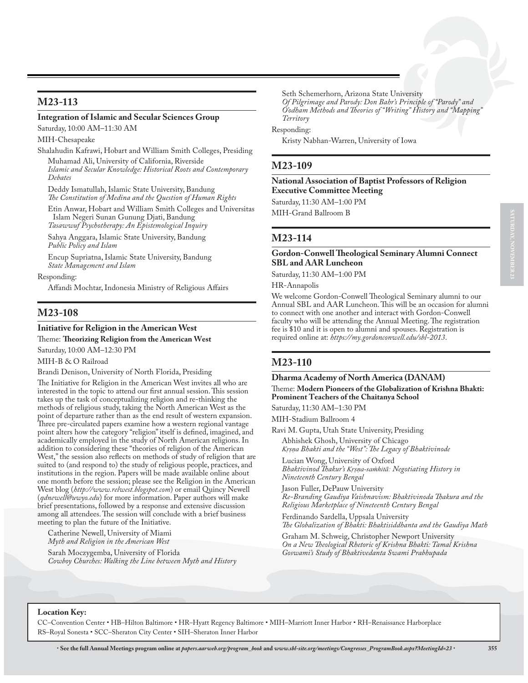#### **Integration of Islamic and Secular Sciences Group**

Saturday, 10:00 AM–11:30 AM

MIH-Chesapeake

Shalahudin Kafrawi, Hobart and William Smith Colleges, Presiding Muhamad Ali, University of California, Riverside

*Islamic and Secular Knowledge: Historical Roots and Contemporary Debates*

Deddy Ismatullah, Islamic State University, Bandung *The Constitution of Medina and the Question of Human Rights*

Etin Anwar, Hobart and William Smith Colleges and Universitas Islam Negeri Sunan Gunung Djati, Bandung *Tasawwuf Psychotherapy: An Epistemological Inquiry*

Sahya Anggara, Islamic State University, Bandung *Public Policy and Islam*

Encup Supriatna, Islamic State University, Bandung *State Management and Islam*

Responding:

Affandi Mochtar, Indonesia Ministry of Religious Affairs

## **M23-108**

## **Initiative for Religion in the American West**

Theme: **Theorizing Religion from the American West**

Saturday, 10:00 AM–12:30 PM

MIH-B & O Railroad

Brandi Denison, University of North Florida, Presiding

The Initiative for Religion in the American West invites all who are interested in the topic to attend our first annual session. This session takes up the task of conceptualizing religion and re-thinking the methods of religious study, taking the North American West as the point of departure rather than as the end result of western expansion. Three pre-circulated papers examine how a western regional vantage point alters how the category "religion" itself is defined, imagined, and academically employed in the study of North American religions. In addition to considering these "theories of religion of the American West," the session also reflects on methods of study of religion that are suited to (and respond to) the study of religious people, practices, and institutions in the region. Papers will be made available online about one month before the session; please see the Religion in the American West blog (*http://www.relwest.blogspot.com*) or email Quincy Newell (*qdnewell@uwyo.edu*) for more information. Paper authors will make brief presentations, followed by a response and extensive discussion among all attendees. The session will conclude with a brief business meeting to plan the future of the Initiative.

Catherine Newell, University of Miami *Myth and Religion in the American West*

Sarah Moczygemba, University of Florida *Cowboy Churches: Walking the Line between Myth and History* Seth Schemerhorn, Arizona State University *Of Pilgrimage and Parody: Don Bahr's Principle of "Parody" and O'odham Methods and Theories of "Writing" History and "Mapping" Territory*

Responding:

Kristy Nabhan-Warren, University of Iowa

### **M23-109**

**National Association of Baptist Professors of Religion Executive Committee Meeting**

Saturday, 11:30 AM–1:00 PM

MIH-Grand Ballroom B

#### **M23-114**

#### **Gordon-Conwell Theological Seminary Alumni Connect SBL and AAR Luncheon**

Saturday, 11:30 AM–1:00 PM

HR-Annapolis

We welcome Gordon-Conwell Theological Seminary alumni to our Annual SBL and AAR Luncheon. This will be an occasion for alumni to connect with one another and interact with Gordon-Conwell faculty who will be attending the Annual Meeting. The registration fee is \$10 and it is open to alumni and spouses. Registration is required online at: *https://my.gordonconwell.edu/sbl-2013*.

### **M23-110**

#### **Dharma Academy of North America (DANAM)** Theme: **Modern Pioneers of the Globalization of Krishna Bhakti: Prominent Teachers of the Chaitanya School**

Saturday, 11:30 AM–1:30 PM

MIH-Stadium Ballroom 4

Ravi M. Gupta, Utah State University, Presiding Abhishek Ghosh, University of Chicago *Krsna Bhakti and the "West": The Legacy of Bhaktivinode* 

Lucian Wong, University of Oxford *Bhaktivinod Thakur's Krsna-samhitā: Negotiating History in Nineteenth Century Bengal*

Jason Fuller, DePauw University *Re-Branding Gaudiya Vaishnavism: Bhaktivinoda Thakura and the Religious Marketplace of Nineteenth Century Bengal*

Ferdinando Sardella, Uppsala University *The Globalization of Bhakti: Bhaktisiddhanta and the Gaudiya Math*

Graham M. Schweig, Christopher Newport University *On a New Theological Rhetoric of Krishna Bhakti: Tamal Krishna Goswami's Study of Bhaktivedanta Swami Prabhupada*

#### **Location Key:**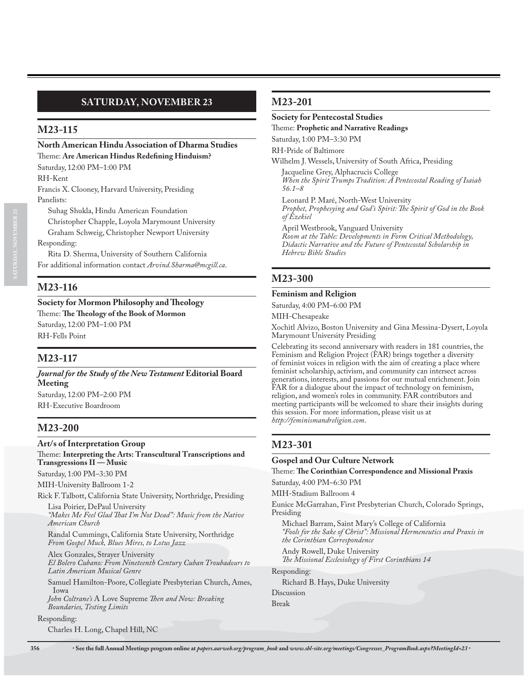### **North American Hindu Association of Dharma Studies** Theme: **Are American Hindus Redefining Hinduism?**

Saturday, 12:00 PM–1:00 PM

RH-Kent

Francis X. Clooney, Harvard University, Presiding Panelists:

Suhag Shukla, Hindu American Foundation Christopher Chapple, Loyola Marymount University Graham Schweig, Christopher Newport University

Responding:

Rita D. Sherma, University of Southern California For additional information contact *Arvind.Sharma@mcgill.ca*.

# **M23-116**

**Society for Mormon Philosophy and Theology** Theme: **The Theology of the Book of Mormon** Saturday, 12:00 PM–1:00 PM RH-Fells Point

# **M23-117**

*Journal for the Study of the New Testament* **Editorial Board Meeting** Saturday, 12:00 PM–2:00 PM

RH-Executive Boardroom

# **M23-200**

### **Art/s of Interpretation Group** Theme: **Interpreting the Arts: Transcultural Transcriptions and**

**Transgressions II — Music** Saturday, 1:00 PM–3:30 PM

MIH-University Ballroom 1-2

Rick F. Talbott, California State University, Northridge, Presiding Lisa Poirier, DePaul University

*"Makes Me Feel Glad That I'm Not Dead": Music from the Native American Church*

Randal Cummings, California State University, Northridge *From Gospel Muck, Blues Mires, to Lotus Jazz*

Alex Gonzales, Strayer University *El Bolero Cubano: From Nineteenth Century Cuban Troubadours to Latin American Musical Genre*

Samuel Hamilton-Poore, Collegiate Presbyterian Church, Ames, Iowa

*John Coltrane's* A Love Supreme *Then and Now: Breaking Boundaries, Testing Limits*

#### Responding:

Charles H. Long, Chapel Hill, NC

## **M23-201**

## **Society for Pentecostal Studies**

Theme: **Prophetic and Narrative Readings**

Saturday, 1:00 PM–3:30 PM

RH-Pride of Baltimore

Wilhelm J. Wessels, University of South Africa, Presiding

Jacqueline Grey, Alphacrucis College *When the Spirit Trumps Tradition: A Pentecostal Reading of Isaiah 56.1–8*

Leonard P. Maré, North-West University *Prophet, Prophesying and God's Spirit: The Spirit of God in the Book of Ezekiel*

April Westbrook, Vanguard University *Room at the Table: Developments in Form Critical Methodology, Didactic Narrative and the Future of Pentecostal Scholarship in Hebrew Bible Studies*

# **M23-300**

### **Feminism and Religion**

Saturday, 4:00 PM–6:00 PM

MIH-Chesapeake

Xochitl Alvizo, Boston University and Gina Messina-Dysert, Loyola Marymount University Presiding

Celebrating its second anniversary with readers in 181 countries, the Feminism and Religion Project (FAR) brings together a diversity of feminist voices in religion with the aim of creating a place where feminist scholarship, activism, and community can intersect across generations, interests, and passions for our mutual enrichment. Join FAR for a dialogue about the impact of technology on feminism, religion, and women's roles in community. FAR contributors and meeting participants will be welcomed to share their insights during this session. For more information, please visit us at *http://feminismandreligion.com*.

# **M23-301**

### **Gospel and Our Culture Network**

# Theme: **The Corinthian Correspondence and Missional Praxis**

Saturday, 4:00 PM–6:30 PM

MIH-Stadium Ballroom 4

Eunice McGarrahan, First Presbyterian Church, Colorado Springs, Presiding

Michael Barram, Saint Mary's College of California *"Fools for the Sake of Christ": Missional Hermeneutics and Praxis in the Corinthian Correspondence*

Andy Rowell, Duke University *The Missional Ecclesiology of First Corinthians 14*

Responding:

Richard B. Hays, Duke University

Discussion Break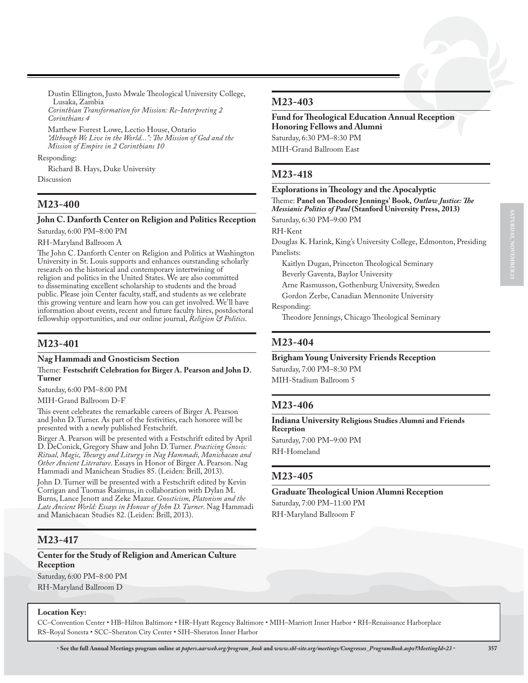Dustin Ellington, Justo Mwale Theological University College, Lusaka, Zambia

*Corinthian Transformation for Mission: Re-Interpreting 2 Corinthians 4*

Matthew Forrest Lowe, Lectio House, Ontario *"Although We Live in the World...": The Mission of God and the Mission of Empire in 2 Corinthians 10*

#### Responding:

Richard B. Hays, Duke University Discussion

## **M23-400**

# **John C. Danforth Center on Religion and Politics Reception**

Saturday, 6:00 PM–8:00 PM

RH-Maryland Ballroom A

The John C. Danforth Center on Religion and Politics at Washington University in St. Louis supports and enhances outstanding scholarly research on the historical and contemporary intertwining of religion and politics in the United States. We are also committed to disseminating excellent scholarship to students and the broad public. Please join Center faculty, staff, and students as we celebrate this growing venture and learn how you can get involved. We'll have information about events, recent and future faculty hires, postdoctoral fellowship opportunities, and our online journal, *Religion & Politics*.

### **M23-401**

#### **Nag Hammadi and Gnosticism Section**

Theme: **Festschrift Celebration for Birger A. Pearson and John D. Turner**

Saturday, 6:00 PM–8:00 PM

MIH-Grand Ballroom D-F

This event celebrates the remarkable careers of Birger A. Pearson and John D. Turner. As part of the festivities, each honoree will be presented with a newly published Festschrift.

Birger A. Pearson will be presented with a Festschrift edited by April D. DeConick, Gregory Shaw and John D. Turner. *Practicing Gnosis: Ritual, Magic, Theurgy and Liturgy in Nag Hammadi, Manichaean and Other Ancient Literature*. Essays in Honor of Birger A. Pearson. Nag Hammadi and Manichean Studies 85. (Leiden: Brill, 2013).

John D. Turner will be presented with a Festschrift edited by Kevin Corrigan and Tuomas Rasimus, in collaboration with Dylan M. Burns, Lance Jenott and Zeke Mazur. *Gnosticism, Platonism and the Late Ancient World: Essays in Honour of John D. Turner*. Nag Hammadi and Manichaean Studies 82. (Leiden: Brill, 2013).

## **M23-417**

## **Center for the Study of Religion and American Culture Reception**

Saturday, 6:00 PM–8:00 PM RH-Maryland Ballroom D

#### **Location Key:**

CC–Convention Center • HB–Hilton Baltimore • HR–Hyatt Regency Baltimore • MIH–Marriott Inner Harbor • RH–Renaissance Harborplace RS–Royal Sonesta • SCC–Sheraton City Center • SIH–Sheraton Inner Harbor

## **M23-403**

### **Fund for Theological Education Annual Reception Honoring Fellows and Alumni** Saturday, 6:30 PM–8:30 PM MIH-Grand Ballroom East

## **M23-418**

| <b>Explorations in Theology and the Apocalyptic</b>                                                                                 |
|-------------------------------------------------------------------------------------------------------------------------------------|
| Theme: Panel on Theodore Jennings' Book, Outlaw Justice: The<br><i>Messianic Politics of Paul</i> (Stanford University Press, 2013) |
| Saturday, 6:30 PM-9:00 PM                                                                                                           |
| RH-Kent                                                                                                                             |
| Douglas K. Harink, King's University College, Edmonton, Presiding                                                                   |
| Panelists:                                                                                                                          |
| Kaitlyn Dugan, Princeton Theological Seminary                                                                                       |
| Beverly Gaventa, Baylor University                                                                                                  |
| Arne Rasmusson, Gothenburg University, Sweden                                                                                       |
| Gordon Zerbe, Canadian Mennonite University                                                                                         |
| Responding:                                                                                                                         |
| $T11T$ $C1TT1110$                                                                                                                   |

Theodore Jennings, Chicago Theological Seminary

### **M23-404**

#### **Brigham Young University Friends Reception**

Saturday, 7:00 PM–8:30 PM MIH-Stadium Ballroom 5

### **M23-406**

**Indiana University Religious Studies Alumni and Friends Reception**

Saturday, 7:00 PM–9:00 PM RH-Homeland

## **M23-405**

**Graduate Theological Union Alumni Reception** Saturday, 7:00 PM–11:00 PM RH-Maryland Ballroom F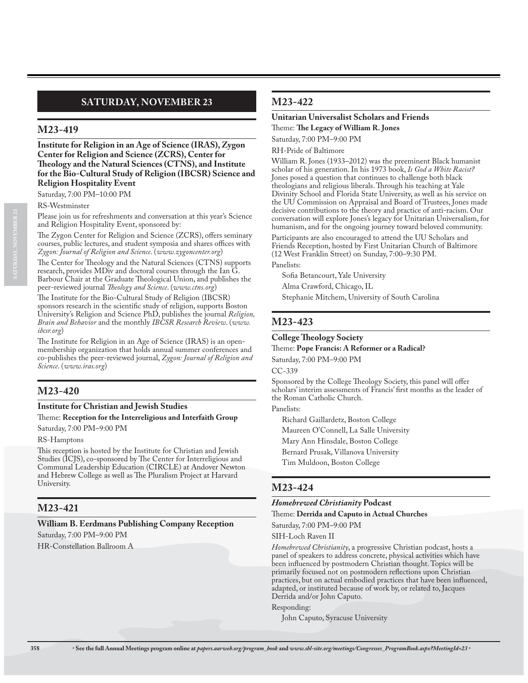# **SATURDAY, NOVEMBER 23**

## **M23-419**

**Institute for Religion in an Age of Science (IRAS), Zygon Center for Religion and Science (ZCRS), Center for Theology and the Natural Sciences (CTNS), and Institute for the Bio-Cultural Study of Religion (IBCSR) Science and Religion Hospitality Event**

Saturday, 7:00 PM–10:00 PM

RS-Westminster

Please join us for refreshments and conversation at this year's Science and Religion Hospitality Event, sponsored by:

The Zygon Center for Religion and Science (ZCRS), offers seminary courses, public lectures, and student symposia and shares offices with *Zygon: Journal of Religion and Science*. (*www.zygoncenter.org*)

The Center for Theology and the Natural Sciences (CTNS) supports research, provides MDiv and doctoral courses through the Ian G. Barbour Chair at the Graduate Theological Union, and publishes the peer-reviewed journal *Theology and Science*. (*www.ctns.org*)

The Institute for the Bio-Cultural Study of Religion (IBCSR) sponsors research in the scientific study of religion, supports Boston University's Religion and Science PhD, publishes the journal *Religion, Brain and Behavior* and the monthly *IBCSR Research Review*. (*www. ibcsr.org*)

The Institute for Religion in an Age of Science (IRAS) is an openmembership organization that holds annual summer conferences and co-publishes the peer-reviewed journal, *Zygon: Journal of Religion and Science*. (*www.iras.org*)

# **M23-420**

## **Institute for Christian and Jewish Studies** Theme: **Reception for the Interreligious and Interfaith Group**

Saturday, 7:00 PM–9:00 PM

RS-Hamptons

This reception is hosted by the Institute for Christian and Jewish Studies (ICJS), co-sponsored by The Center for Interreligious and Communal Leadership Education (CIRCLE) at Andover Newton and Hebrew College as well as The Pluralism Project at Harvard University.

# **M23-421**

## **William B. Eerdmans Publishing Company Reception**

Saturday, 7:00 PM–9:00 PM

HR-Constellation Ballroom A

# **M23-422**

## **Unitarian Universalist Scholars and Friends**

Theme: **The Legacy of William R. Jones**

Saturday, 7:00 PM–9:00 PM

RH-Pride of Baltimore

William R. Jones (1933–2012) was the preeminent Black humanist scholar of his generation. In his 1973 book, *Is God a White Racist?*  Jones posed a question that continues to challenge both black theologians and religious liberals. Through his teaching at Yale Divinity School and Florida State University, as well as his service on the UU Commission on Appraisal and Board of Trustees, Jones made decisive contributions to the theory and practice of anti-racism. Our conversation will explore Jones's legacy for Unitarian Universalism, for humanism, and for the ongoing journey toward beloved community. Participants are also encouraged to attend the UU Scholars and Friends Reception, hosted by First Unitarian Church of Baltimore (12 West Franklin Street) on Sunday, 7:00–9:30 PM.

Panelists:

Sofia Betancourt, Yale University Alma Crawford, Chicago, IL

Stephanie Mitchem, University of South Carolina

# **M23-423**

### **College Theology Society**

Theme: **Pope Francis: A Reformer or a Radical?**

Saturday, 7:00 PM–9:00 PM

CC-339

Sponsored by the College Theology Society, this panel will offer scholars' interim assessments of Francis' first months as the leader of the Roman Catholic Church.

Panelists:

Richard Gaillardetz, Boston College Maureen O'Connell, La Salle University Mary Ann Hinsdale, Boston College Bernard Prusak, Villanova University Tim Muldoon, Boston College

# **M23-424**

## *Homebrewed Christianity* **Podcast**

Theme: **Derrida and Caputo in Actual Churches**

Saturday, 7:00 PM–9:00 PM

SIH-Loch Raven II

*Homebrewed Christianity*, a progressive Christian podcast, hosts a panel of speakers to address concrete, physical activities which have been influenced by postmodern Christian thought. Topics will be primarily focused not on postmodern reflections upon Christian practices, but on actual embodied practices that have been influenced, adapted, or instituted because of work by, or related to, Jacques Derrida and/or John Caputo.

Responding:

John Caputo, Syracuse University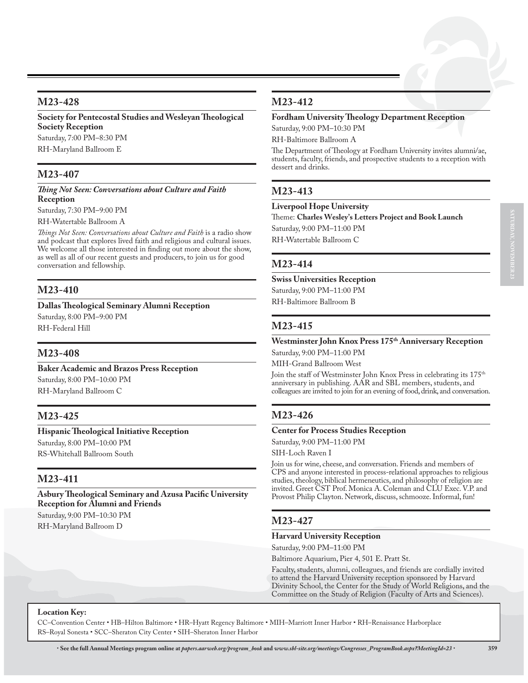**Society for Pentecostal Studies and Wesleyan Theological Society Reception** Saturday, 7:00 PM–8:30 PM RH-Maryland Ballroom E

## **M23-407**

*Thing Not Seen: Conversations about Culture and Faith*  **Reception**

Saturday, 7:30 PM–9:00 PM

RH-Watertable Ballroom A

*Things Not Seen: Conversations about Culture and Faith* is a radio show and podcast that explores lived faith and religious and cultural issues. We welcome all those interested in finding out more about the show, as well as all of our recent guests and producers, to join us for good conversation and fellowship.

## **M23-410**

### **Dallas Theological Seminary Alumni Reception**

Saturday, 8:00 PM–9:00 PM RH-Federal Hill

## **M23-408**

**Baker Academic and Brazos Press Reception** Saturday, 8:00 PM–10:00 PM RH-Maryland Ballroom C

## **M23-425**

**Hispanic Theological Initiative Reception** Saturday, 8:00 PM–10:00 PM RS-Whitehall Ballroom South

## **M23-411**

**Asbury Theological Seminary and Azusa Pacific University Reception for Alumni and Friends**

Saturday, 9:00 PM–10:30 PM RH-Maryland Ballroom D

## **M23-412**

### **Fordham University Theology Department Reception**

Saturday, 9:00 PM–10:30 PM

RH-Baltimore Ballroom A

The Department of Theology at Fordham University invites alumni/ae, students, faculty, friends, and prospective students to a reception with dessert and drinks.

## **M23-413**

#### **Liverpool Hope University**

Theme: **Charles Wesley's Letters Project and Book Launch** Saturday, 9:00 PM–11:00 PM RH-Watertable Ballroom C

## **M23-414**

**Swiss Universities Reception**

Saturday, 9:00 PM–11:00 PM RH-Baltimore Ballroom B

## **M23-415**

### **Westminster John Knox Press 175th Anniversary Reception** Saturday, 9:00 PM–11:00 PM

MIH-Grand Ballroom West

Join the staff of Westminster John Knox Press in celebrating its 175<sup>th</sup> anniversary in publishing. AAR and SBL members, students, and colleagues are invited to join for an evening of food, drink, and conversation.

## **M23-426**

### **Center for Process Studies Reception**

Saturday, 9:00 PM–11:00 PM

SIH-Loch Raven I

Join us for wine, cheese, and conversation. Friends and members of CPS and anyone interested in process-relational approaches to religious studies, theology, biblical hermeneutics, and philosophy of religion are invited. Greet CST Prof. Monica A. Coleman and CLU Exec. V.P. and Provost Philip Clayton. Network, discuss, schmooze. Informal, fun!

## **M23-427**

#### **Harvard University Reception**

Saturday, 9:00 PM–11:00 PM

Baltimore Aquarium, Pier 4, 501 E. Pratt St.

Faculty, students, alumni, colleagues, and friends are cordially invited to attend the Harvard University reception sponsored by Harvard Divinity School, the Center for the Study of World Religions, and the Committee on the Study of Religion (Faculty of Arts and Sciences).

#### **Location Key:**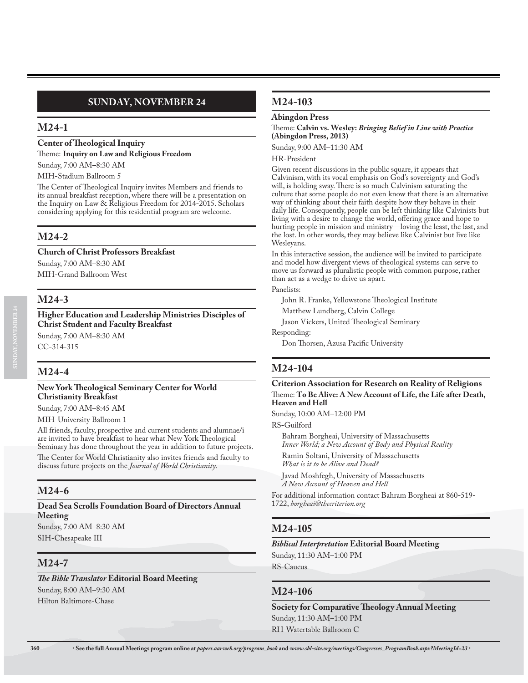# **SUNDAY, NOVEMBER 24**

## **M24-1**

### **Center of Theological Inquiry**

Theme: **Inquiry on Law and Religious Freedom**

Sunday, 7:00 AM–8:30 AM

#### MIH-Stadium Ballroom 5

The Center of Theological Inquiry invites Members and friends to its annual breakfast reception, where there will be a presentation on the Inquiry on Law & Religious Freedom for 2014-2015. Scholars considering applying for this residential program are welcome.

## **M24-2**

**Church of Christ Professors Breakfast**

Sunday, 7:00 AM–8:30 AM MIH-Grand Ballroom West

## **M24-3**

**Higher Education and Leadership Ministries Disciples of Christ Student and Faculty Breakfast** Sunday, 7:00 AM–8:30 AM

CC-314-315

## **M24-4**

### **New York Theological Seminary Center for World Christianity Breakfast**

Sunday, 7:00 AM–8:45 AM

MIH-University Ballroom 1

All friends, faculty, prospective and current students and alumnae/i are invited to have breakfast to hear what New York Theological Seminary has done throughout the year in addition to future projects. The Center for World Christianity also invites friends and faculty to discuss future projects on the *Journal of World Christianity*.

## **M24-6**

#### **Dead Sea Scrolls Foundation Board of Directors Annual Meeting**

Sunday, 7:00 AM–8:30 AM SIH-Chesapeake III

## **M24-7**

*The Bible Translator* **Editorial Board Meeting** Sunday, 8:00 AM–9:30 AM Hilton Baltimore-Chase

## **M24-103**

#### **Abingdon Press**

Theme: **Calvin vs. Wesley:** *Bringing Belief in Line with Practice*  **(Abingdon Press, 2013)**

Sunday, 9:00 AM–11:30 AM

HR-President

Given recent discussions in the public square, it appears that Calvinism, with its vocal emphasis on God's sovereignty and God's will, is holding sway. There is so much Calvinism saturating the culture that some people do not even know that there is an alternative way of thinking about their faith despite how they behave in their daily life. Consequently, people can be left thinking like Calvinists but living with a desire to change the world, offering grace and hope to hurting people in mission and ministry—loving the least, the last, and the lost. In other words, they may believe like Calvinist but live like Wesleyans.

In this interactive session, the audience will be invited to participate and model how divergent views of theological systems can serve to move us forward as pluralistic people with common purpose, rather than act as a wedge to drive us apart.

Panelists:

John R. Franke, Yellowstone Theological Institute

Matthew Lundberg, Calvin College

Jason Vickers, United Theological Seminary

Responding:

Don Thorsen, Azusa Pacific University

## **M24-104**

### **Criterion Association for Research on Reality of Religions** Theme: **To Be Alive: A New Account of Life, the Life after Death, Heaven and Hell**

Sunday, 10:00 AM–12:00 PM

RS-Guilford

Bahram Borgheai, University of Massachusetts *Inner World; a New Account of Body and Physical Reality* Ramin Soltani, University of Massachusetts *What is it to be Alive and Dead?*

Javad Moshfegh, University of Massachusetts *A New Account of Heaven and Hell*

For additional information contact Bahram Borgheai at 860-519- 1722, *borgheai@thecriterion.org*

# **M24-105**

#### *Biblical Interpretation* **Editorial Board Meeting**

Sunday, 11:30 AM–1:00 PM

RS-Caucus

## **M24-106**

**Society for Comparative Theology Annual Meeting** Sunday, 11:30 AM–1:00 PM RH-Watertable Ballroom C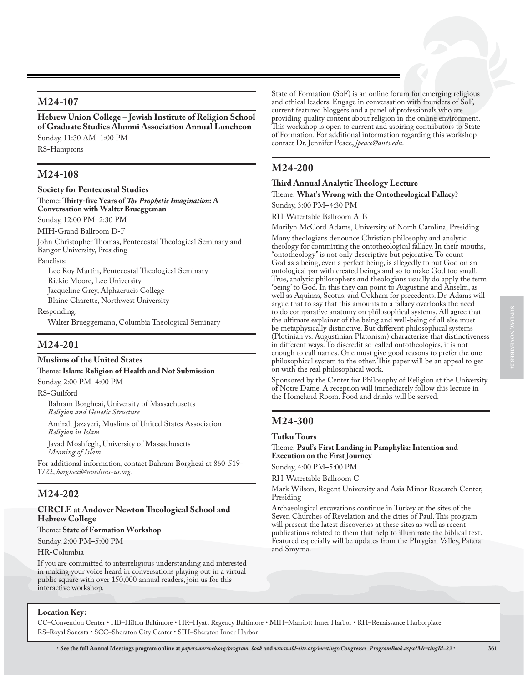## **M24-107**

**Hebrew Union College – Jewish Institute of Religion School of Graduate Studies Alumni Association Annual Luncheon** Sunday, 11:30 AM–1:00 PM RS-Hamptons

**M24-108**

### **Society for Pentecostal Studies**

Theme: **Thirty-five Years of** *The Prophetic Imagination***: A Conversation with Walter Brueggeman**

Sunday, 12:00 PM–2:30 PM

MIH-Grand Ballroom D-F

John Christopher Thomas, Pentecostal Theological Seminary and Bangor University, Presiding

Panelists:

Lee Roy Martin, Pentecostal Theological Seminary Rickie Moore, Lee University Jacqueline Grey, Alphacrucis College Blaine Charette, Northwest University

Responding:

Walter Brueggemann, Columbia Theological Seminary

## **M24-201**

## **Muslims of the United States**

Theme: **Islam: Religion of Health and Not Submission**

Sunday, 2:00 PM–4:00 PM

RS-Guilford

Bahram Borgheai, University of Massachusetts *Religion and Genetic Structure*

Amirali Jazayeri, Muslims of United States Association *Religion in Islam*

Javad Moshfegh, University of Massachusetts *Meaning of Islam*

For additional information, contact Bahram Borgheai at 860-519- 1722, *borgheai@muslims-us.org*.

## **M24-202**

### **CIRCLE at Andover Newton Theological School and Hebrew College**

Theme: **State of Formation Workshop**

Sunday, 2:00 PM–5:00 PM

HR-Columbia

If you are committed to interreligious understanding and interested in making your voice heard in conversations playing out in a virtual public square with over 150,000 annual readers, join us for this interactive workshop.

State of Formation (SoF) is an online forum for emerging religious and ethical leaders. Engage in conversation with founders of SoF, current featured bloggers and a panel of professionals who are providing quality content about religion in the online environment. This workshop is open to current and aspiring contributors to State of Formation. For additional information regarding this workshop contact Dr. Jennifer Peace, *jpeace@ants.edu*.

## **M24-200**

## **Third Annual Analytic Theology Lecture**

Theme: **What's Wrong with the Ontotheological Fallacy?**

Sunday, 3:00 PM–4:30 PM RH-Watertable Ballroom A-B

Marilyn McCord Adams, University of North Carolina, Presiding

Many theologians denounce Christian philosophy and analytic theology for committing the ontotheological fallacy. In their mouths, "ontotheology" is not only descriptive but pejorative. To count God as a being, even a perfect being, is allegedly to put God on an ontological par with created beings and so to make God too small. True, analytic philosophers and theologians usually do apply the term 'being' to God. In this they can point to Augustine and Anselm, as well as Aquinas, Scotus, and Ockham for precedents. Dr. Adams will argue that to say that this amounts to a fallacy overlooks the need to do comparative anatomy on philosophical systems. All agree that the ultimate explainer of the being and well-being of all else must be metaphysically distinctive. But different philosophical systems (Plotinian vs. Augustinian Platonism) characterize that distinctiveness in different ways. To discredit so-called ontotheologies, it is not enough to call names. One must give good reasons to prefer the one philosophical system to the other. This paper will be an appeal to get on with the real philosophical work.

Sponsored by the Center for Philosophy of Religion at the University of Notre Dame. A reception will immediately follow this lecture in the Homeland Room. Food and drinks will be served.

# **M24-300**

### **Tutku Tours**

Theme: **Paul's First Landing in Pamphylia: Intention and Execution on the First Journey**

Sunday, 4:00 PM–5:00 PM

RH-Watertable Ballroom C

Mark Wilson, Regent University and Asia Minor Research Center, Presiding

Archaeological excavations continue in Turkey at the sites of the Seven Churches of Revelation and the cities of Paul. This program will present the latest discoveries at these sites as well as recent publications related to them that help to illuminate the biblical text. Featured especially will be updates from the Phrygian Valley, Patara and Smyrna.

### **Location Key:**

CC–Convention Center • HB–Hilton Baltimore • HR–Hyatt Regency Baltimore • MIH–Marriott Inner Harbor • RH–Renaissance Harborplace RS–Royal Sonesta • SCC–Sheraton City Center • SIH–Sheraton Inner Harbor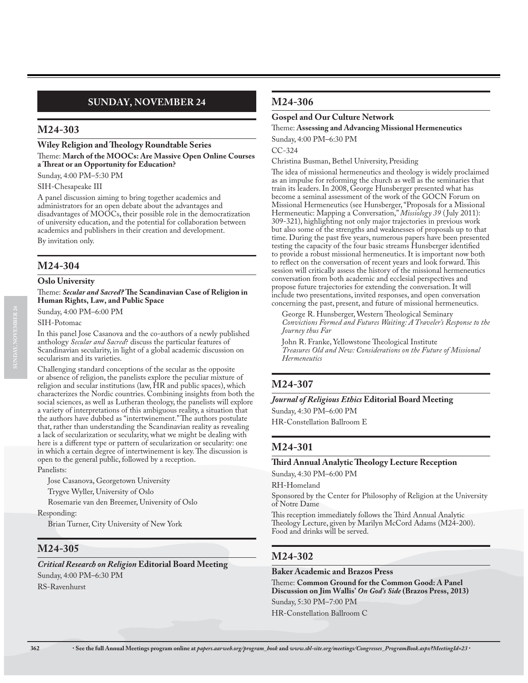# **SUNDAY, NOVEMBER 24**

## **M24-303**

**Wiley Religion and Theology Roundtable Series** Theme: **March of the MOOCs: Are Massive Open Online Courses a Threat or an Opportunity for Education?**

Sunday, 4:00 PM–5:30 PM

SIH-Chesapeake III

A panel discussion aiming to bring together academics and administrators for an open debate about the advantages and disadvantages of MOOCs, their possible role in the democratization of university education, and the potential for collaboration between academics and publishers in their creation and development.

By invitation only.

## **M24-304**

**Oslo University**

Theme: *Secular and Sacred?* **The Scandinavian Case of Religion in Human Rights, Law, and Public Space**

Sunday, 4:00 PM–6:00 PM

SIH-Potomac

In this panel Jose Casanova and the co-authors of a newly published anthology *Secular and Sacred*? discuss the particular features of Scandinavian secularity, in light of a global academic discussion on secularism and its varieties.

Challenging standard conceptions of the secular as the opposite or absence of religion, the panelists explore the peculiar mixture of religion and secular institutions (law, HR and public spaces), which characterizes the Nordic countries. Combining insights from both the social sciences, as well as Lutheran theology, the panelists will explore a variety of interpretations of this ambiguous reality, a situation that the authors have dubbed as "intertwinement." The authors postulate that, rather than understanding the Scandinavian reality as revealing a lack of secularization or secularity, what we might be dealing with here is a different type or pattern of secularization or secularity: one in which a certain degree of intertwinement is key. The discussion is open to the general public, followed by a reception.

Panelists:

Jose Casanova, Georgetown University

Trygve Wyller, University of Oslo

Rosemarie van den Breemer, University of Oslo

Responding:

Brian Turner, City University of New York

## **M24-305**

*Critical Research on Religion* **Editorial Board Meeting** Sunday, 4:00 PM–6:30 PM RS-Ravenhurst

### **M24-306**

#### **Gospel and Our Culture Network**

Theme: **Assessing and Advancing Missional Hermeneutics** Sunday, 4:00 PM–6:30 PM

CC-324

Christina Busman, Bethel University, Presiding

The idea of missional hermeneutics and theology is widely proclaimed as an impulse for reforming the church as well as the seminaries that train its leaders. In 2008, George Hunsberger presented what has become a seminal assessment of the work of the GOCN Forum on Missional Hermeneutics (see Hunsberger, "Proposals for a Missional Hermeneutic: Mapping a Conversation," *Missiology 39* ( July 2011): 309-321), highlighting not only major trajectories in previous work but also some of the strengths and weaknesses of proposals up to that time. During the past five years, numerous papers have been presented testing the capacity of the four basic streams Hunsberger identified to provide a robust missional hermeneutics. It is important now both to reflect on the conversation of recent years and look forward. This session will critically assess the history of the missional hermeneutics conversation from both academic and ecclesial perspectives and propose future trajectories for extending the conversation. It will include two presentations, invited responses, and open conversation concerning the past, present, and future of missional hermeneutics.

George R. Hunsberger, Western Theological Seminary *Convictions Formed and Futures Waiting: A Traveler's Response to the Journey thus Far*

John R. Franke, Yellowstone Theological Institute *Treasures Old and New: Considerations on the Future of Missional Hermeneutics*

## **M24-307**

*Journal of Religious Ethics* **Editorial Board Meeting** Sunday, 4:30 PM–6:00 PM

HR-Constellation Ballroom E

## **M24-301**

#### **Third Annual Analytic Theology Lecture Reception**

Sunday, 4:30 PM–6:00 PM

RH-Homeland

Sponsored by the Center for Philosophy of Religion at the University of Notre Dame

This reception immediately follows the Third Annual Analytic Theology Lecture, given by Marilyn McCord Adams (M24-200). Food and drinks will be served.

## **M24-302**

#### **Baker Academic and Brazos Press**

Theme: **Common Ground for the Common Good: A Panel Discussion on Jim Wallis'** *On God's Side* **(Brazos Press, 2013)**

Sunday, 5:30 PM–7:00 PM

HR-Constellation Ballroom C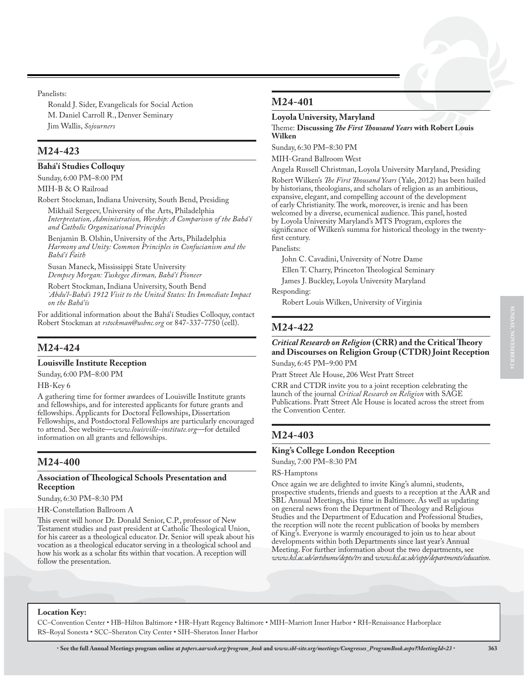Panelists:

Ronald J. Sider, Evangelicals for Social Action M. Daniel Carroll R., Denver Seminary Jim Wallis, *Sojourners*

## **M24-423**

#### **Bahá'í Studies Colloquy**

Sunday, 6:00 PM–8:00 PM

MIH-B & O Railroad

Robert Stockman, Indiana University, South Bend, Presiding Mikhail Sergeev, University of the Arts, Philadelphia

*Interpretation, Administration, Worship: A Comparison of the Bahá'í and Catholic Organizational Principles*

Benjamin B. Olshin, University of the Arts, Philadelphia *Harmony and Unity: Common Principles in Confucianism and the Bahá'í Faith*

Susan Maneck, Mississippi State University *Dempsey Morgan: Tuskegee Airman, Bahá'í Pioneer*

Robert Stockman, Indiana University, South Bend *`Abdu'l-Bahá's 1912 Visit to the United States: Its Immediate Impact on the Bahá'ís*

For additional information about the Bahá'í Studies Colloquy, contact Robert Stockman at *rstockman@usbnc.org* or 847-337-7750 (cell).

## **M24-424**

#### **Louisville Institute Reception**

Sunday, 6:00 PM–8:00 PM

HB-Key 6

A gathering time for former awardees of Louisville Institute grants and fellowships, and for interested applicants for future grants and fellowships. Applicants for Doctoral Fellowships, Dissertation Fellowships, and Postdoctoral Fellowships are particularly encouraged to attend. See website—*www.louisville-institute.org*—for detailed information on all grants and fellowships.

## **M24-400**

#### **Association of Theological Schools Presentation and Reception**

Sunday, 6:30 PM–8:30 PM

HR-Constellation Ballroom A

This event will honor Dr. Donald Senior, C.P., professor of New Testament studies and past president at Catholic Theological Union, for his career as a theological educator. Dr. Senior will speak about his vocation as a theological educator serving in a theological school and how his work as a scholar fits within that vocation. A reception will follow the presentation.

## **M24-401**

### **Loyola University, Maryland**

Theme: **Discussing** *The First Thousand Years* **with Robert Louis Wilken**

Sunday, 6:30 PM–8:30 PM

MIH-Grand Ballroom West

Angela Russell Christman, Loyola University Maryland, Presiding

Robert Wilken's *The First Thousand Years* (Yale, 2012) has been hailed by historians, theologians, and scholars of religion as an ambitious, expansive, elegant, and compelling account of the development of early Christianity. The work, moreover, is irenic and has been welcomed by a diverse, ecumenical audience. This panel, hosted by Loyola University Maryland's MTS Program, explores the significance of Wilken's summa for historical theology in the twentyfirst century.

#### Panelists:

John C. Cavadini, University of Notre Dame

Ellen T. Charry, Princeton Theological Seminary

James J. Buckley, Loyola University Maryland

Responding:

Robert Louis Wilken, University of Virginia

## **M24-422**

#### *Critical Research on Religion* **(CRR) and the Critical Theory and Discourses on Religion Group (CTDR) Joint Reception** Sunday, 6:45 PM–9:00 PM

Pratt Street Ale House, 206 West Pratt Street

CRR and CTDR invite you to a joint reception celebrating the launch of the journal *Critical Research on Religion* with SAGE Publications. Pratt Street Ale House is located across the street from the Convention Center.

# **M24-403**

#### **King's College London Reception**

Sunday, 7:00 PM–8:30 PM

RS-Hamptons

Once again we are delighted to invite King's alumni, students, prospective students, friends and guests to a reception at the AAR and SBL Annual Meetings, this time in Baltimore. As well as updating on general news from the Department of Theology and Religious Studies and the Department of Education and Professional Studies, the reception will note the recent publication of books by members of King's. Everyone is warmly encouraged to join us to hear about developments within both Departments since last year's Annual Meeting. For further information about the two departments, see *www.kcl.ac.uk/artshums/depts/trs* and *www.kcl.ac.uk/sspp/departments/education*.

#### **Location Key:**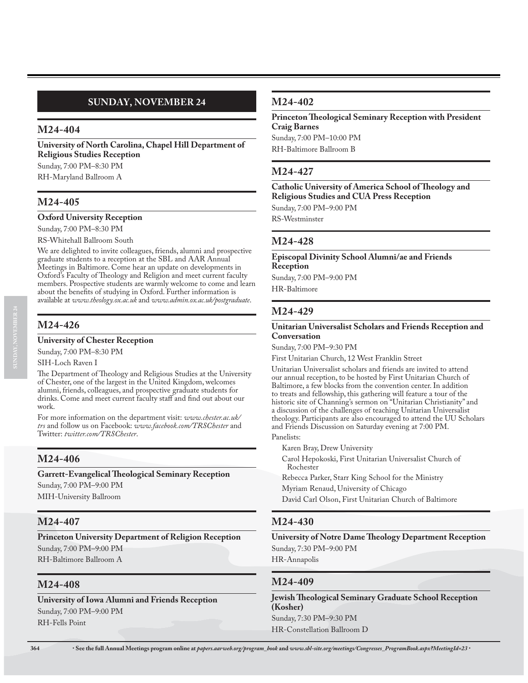# **SUNDAY, NOVEMBER 24**

## **M24-404**

**University of North Carolina, Chapel Hill Department of Religious Studies Reception**

Sunday, 7:00 PM–8:30 PM

RH-Maryland Ballroom A

## **M24-405**

### **Oxford University Reception**

Sunday, 7:00 PM–8:30 PM

RS-Whitehall Ballroom South

We are delighted to invite colleagues, friends, alumni and prospective graduate students to a reception at the SBL and AAR Annual Meetings in Baltimore. Come hear an update on developments in Oxford's Faculty of Theology and Religion and meet current faculty members. Prospective students are warmly welcome to come and learn about the benefits of studying in Oxford. Further information is available at *www.theology.ox.ac.uk* and *www.admin.ox.ac.uk/postgraduate*.

# **M24-426**

### **University of Chester Reception**

Sunday, 7:00 PM–8:30 PM

SIH-Loch Raven I

The Department of Theology and Religious Studies at the University of Chester, one of the largest in the United Kingdom, welcomes alumni, friends, colleagues, and prospective graduate students for drinks. Come and meet current faculty staff and find out about our work.

For more information on the department visit: *www.chester.ac.uk/ trs* and follow us on Facebook: *www.facebook.com/TRSChester* and Twitter: *twitter.com/TRSChester*.

# **M24-406**

### **Garrett-Evangelical Theological Seminary Reception**

Sunday, 7:00 PM–9:00 PM MIH-University Ballroom

# **M24-407**

**Princeton University Department of Religion Reception** Sunday, 7:00 PM–9:00 PM RH-Baltimore Ballroom A

## **M24-408**

**University of Iowa Alumni and Friends Reception** Sunday, 7:00 PM–9:00 PM RH-Fells Point

## **M24-402**

**Princeton Theological Seminary Reception with President Craig Barnes** Sunday, 7:00 PM–10:00 PM RH-Baltimore Ballroom B

## **M24-427**

**Catholic University of America School of Theology and Religious Studies and CUA Press Reception**

Sunday, 7:00 PM–9:00 PM

RS-Westminster

## **M24-428**

**Episcopal Divinity School Alumni/ae and Friends Reception** Sunday, 7:00 PM–9:00 PM

HR-Baltimore

## **M24-429**

### **Unitarian Universalist Scholars and Friends Reception and Conversation**

Sunday, 7:00 PM–9:30 PM

First Unitarian Church, 12 West Franklin Street

Unitarian Universalist scholars and friends are invited to attend our annual reception, to be hosted by First Unitarian Church of Baltimore, a few blocks from the convention center. In addition to treats and fellowship, this gathering will feature a tour of the historic site of Channing's sermon on "Unitarian Christianity" and a discussion of the challenges of teaching Unitarian Universalist theology. Participants are also encouraged to attend the UU Scholars and Friends Discussion on Saturday evening at 7:00 PM.

Panelists:

Karen Bray, Drew University

Carol Hepokoski, First Unitarian Universalist Church of Rochester

Rebecca Parker, Starr King School for the Ministry Myriam Renaud, University of Chicago

David Carl Olson, First Unitarian Church of Baltimore

## **M24-430**

**University of Notre Dame Theology Department Reception** Sunday, 7:30 PM–9:00 PM HR-Annapolis

## **M24-409**

**Jewish Theological Seminary Graduate School Reception (Kosher)** Sunday, 7:30 PM–9:30 PM HR-Constellation Ballroom D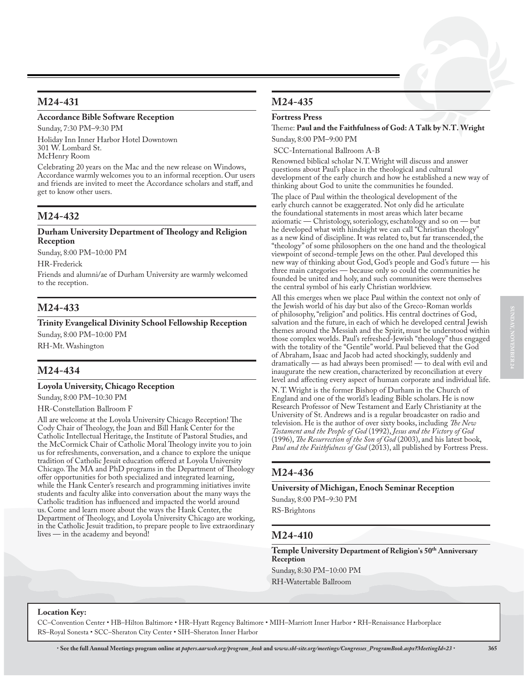## **M24-431**

### **Accordance Bible Software Reception**

Sunday, 7:30 PM–9:30 PM

Holiday Inn Inner Harbor Hotel Downtown 301 W. Lombard St. McHenry Room

Celebrating 20 years on the Mac and the new release on Windows, Accordance warmly welcomes you to an informal reception. Our users and friends are invited to meet the Accordance scholars and staff, and get to know other users.

## **M24-432**

#### **Durham University Department of Theology and Religion Reception**

Sunday, 8:00 PM–10:00 PM

HR-Frederick

Friends and alumni/ae of Durham University are warmly welcomed to the reception.

# **M24-433**

**Trinity Evangelical Divinity School Fellowship Reception** Sunday, 8:00 PM–10:00 PM RH-Mt. Washington

# **M24-434**

### **Loyola University, Chicago Reception**

Sunday, 8:00 PM–10:30 PM

#### HR-Constellation Ballroom F

All are welcome at the Loyola University Chicago Reception! The Cody Chair of Theology, the Joan and Bill Hank Center for the Catholic Intellectual Heritage, the Institute of Pastoral Studies, and the McCormick Chair of Catholic Moral Theology invite you to join us for refreshments, conversation, and a chance to explore the unique tradition of Catholic Jesuit education offered at Loyola University Chicago. The MA and PhD programs in the Department of Theology offer opportunities for both specialized and integrated learning, while the Hank Center's research and programming initiatives invite students and faculty alike into conversation about the many ways the Catholic tradition has influenced and impacted the world around us. Come and learn more about the ways the Hank Center, the Department of Theology, and Loyola University Chicago are working, in the Catholic Jesuit tradition, to prepare people to live extraordinary lives — in the academy and beyond!

# **M24-435**

### **Fortress Press**

Theme: **Paul and the Faithfulness of God: A Talk by N.T. Wright** Sunday, 8:00 PM–9:00 PM

SCC-International Ballroom A-B

Renowned biblical scholar N.T. Wright will discuss and answer questions about Paul's place in the theological and cultural development of the early church and how he established a new way of thinking about God to unite the communities he founded.

The place of Paul within the theological development of the early church cannot be exaggerated. Not only did he articulate the foundational statements in most areas which later became axiomatic — Christology, soteriology, eschatology and so on — but he developed what with hindsight we can call "Christian theology" as a new kind of discipline. It was related to, but far transcended, the "theology" of some philosophers on the one hand and the theological viewpoint of second-temple Jews on the other. Paul developed this new way of thinking about God, God's people and God's future — his three main categories — because only so could the communities he founded be united and holy, and such communities were themselves the central symbol of his early Christian worldview.

All this emerges when we place Paul within the context not only of the Jewish world of his day but also of the Greco-Roman worlds of philosophy, "religion" and politics. His central doctrines of God, salvation and the future, in each of which he developed central Jewish themes around the Messiah and the Spirit, must be understood within those complex worlds. Paul's refreshed-Jewish "theology" thus engaged with the totality of the "Gentile" world. Paul believed that the God of Abraham, Isaac and Jacob had acted shockingly, suddenly and dramatically — as had always been promised! — to deal with evil and inaugurate the new creation, characterized by reconciliation at every level and affecting every aspect of human corporate and individual life.

N. T. Wright is the former Bishop of Durham in the Church of England and one of the world's leading Bible scholars. He is now Research Professor of New Testament and Early Christianity at the University of St. Andrews and is a regular broadcaster on radio and television. He is the author of over sixty books, including *The New Testament and the People of God* (1992), *Jesus and the Victory of God* (1996), *The Resurrection of the Son of God* (2003), and his latest book, *Paul and the Faithfulness of God* (2013), all published by Fortress Press.

## **M24-436**

### **University of Michigan, Enoch Seminar Reception**

Sunday, 8:00 PM–9:30 PM RS-Brightons

## **M24-410**

Temple University Department of Religion's 50<sup>th</sup> Anniversary **Reception**

Sunday, 8:30 PM–10:00 PM

RH-Watertable Ballroom

### **Location Key:**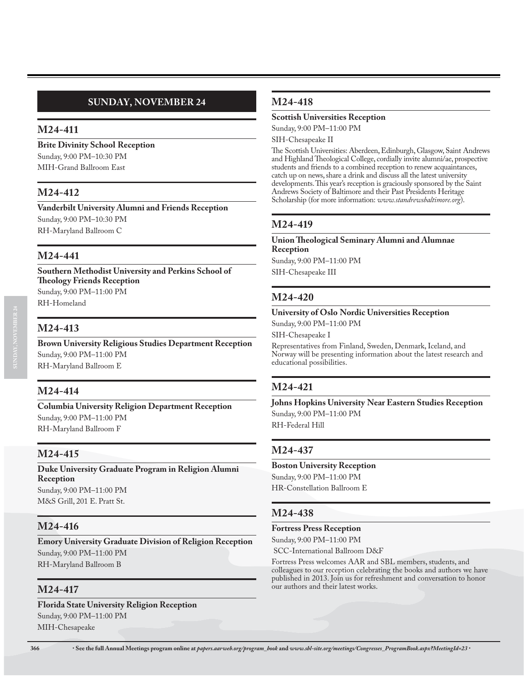# **SUNDAY, NOVEMBER 24**

## **M24-411**

**Brite Divinity School Reception** Sunday, 9:00 PM–10:30 PM MIH-Grand Ballroom East

## **M24-412**

**Vanderbilt University Alumni and Friends Reception** Sunday, 9:00 PM–10:30 PM RH-Maryland Ballroom C

## **M24-441**

**Southern Methodist University and Perkins School of Theology Friends Reception** Sunday, 9:00 PM–11:00 PM RH-Homeland

## **M24-413**

**Brown University Religious Studies Department Reception** Sunday, 9:00 PM–11:00 PM RH-Maryland Ballroom E

## **M24-414**

**Columbia University Religion Department Reception** Sunday, 9:00 PM–11:00 PM RH-Maryland Ballroom F

## **M24-415**

**Duke University Graduate Program in Religion Alumni Reception** Sunday, 9:00 PM–11:00 PM M&S Grill, 201 E. Pratt St.

## **M24-416**

**Emory University Graduate Division of Religion Reception** Sunday, 9:00 PM–11:00 PM RH-Maryland Ballroom B

## **M24-417**

**Florida State University Religion Reception** Sunday, 9:00 PM–11:00 PM MIH-Chesapeake

## **M24-418**

### **Scottish Universities Reception**

Sunday, 9:00 PM–11:00 PM SIH-Chesapeake II

The Scottish Universities: Aberdeen, Edinburgh, Glasgow, Saint Andrews and Highland Theological College, cordially invite alumni/ae, prospective students and friends to a combined reception to renew acquaintances, catch up on news, share a drink and discuss all the latest university developments. This year's reception is graciously sponsored by the Saint Andrews Society of Baltimore and their Past Presidents Heritage Scholarship (for more information: *www.standrewsbaltimore.org*).

## **M24-419**

**Union Theological Seminary Alumni and Alumnae Reception** Sunday, 9:00 PM–11:00 PM

SIH-Chesapeake III

### **M24-420**

### **University of Oslo Nordic Universities Reception**

Sunday, 9:00 PM–11:00 PM

SIH-Chesapeake I

Representatives from Finland, Sweden, Denmark, Iceland, and Norway will be presenting information about the latest research and educational possibilities.

## **M24-421**

**Johns Hopkins University Near Eastern Studies Reception** Sunday, 9:00 PM–11:00 PM RH-Federal Hill

## **M24-437**

**Boston University Reception** Sunday, 9:00 PM–11:00 PM HR-Constellation Ballroom E

## **M24-438**

#### **Fortress Press Reception**

Sunday, 9:00 PM–11:00 PM

SCC-International Ballroom D&F

Fortress Press welcomes AAR and SBL members, students, and colleagues to our reception celebrating the books and authors we have published in 2013. Join us for refreshment and conversation to honor our authors and their latest works.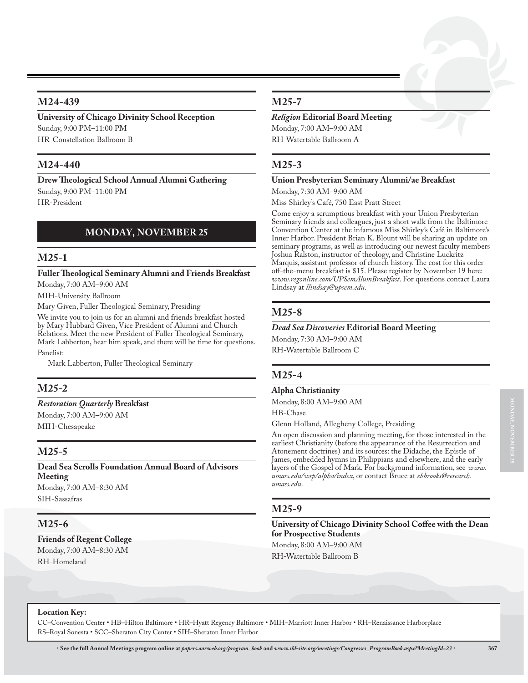## **M24-439**

### **University of Chicago Divinity School Reception** Sunday, 9:00 PM–11:00 PM HR-Constellation Ballroom B

## **M24-440**

**Drew Theological School Annual Alumni Gathering** Sunday, 9:00 PM–11:00 PM HR-President

# **MONDAY, NOVEMBER 25**

## **M25-1**

**Fuller Theological Seminary Alumni and Friends Breakfast** Monday, 7:00 AM–9:00 AM

MIH-University Ballroom

Mary Given, Fuller Theological Seminary, Presiding

We invite you to join us for an alumni and friends breakfast hosted by Mary Hubbard Given, Vice President of Alumni and Church Relations. Meet the new President of Fuller Theological Seminary, Mark Labberton, hear him speak, and there will be time for questions. Panelist:

Mark Labberton, Fuller Theological Seminary

# **M25-2**

### *Restoration Quarterly* **Breakfast**

Monday, 7:00 AM–9:00 AM MIH-Chesapeake

# **M25-5**

**Dead Sea Scrolls Foundation Annual Board of Advisors Meeting** Monday, 7:00 AM–8:30 AM

SIH-Sassafras

## **M25-6**

**Friends of Regent College** Monday, 7:00 AM–8:30 AM RH-Homeland

## **M25-7**

## *Religion* **Editorial Board Meeting**

Monday, 7:00 AM–9:00 AM RH-Watertable Ballroom A

# **M25-3**

### **Union Presbyterian Seminary Alumni/ae Breakfast**

Monday, 7:30 AM–9:00 AM

Miss Shirley's Café, 750 East Pratt Street

Come enjoy a scrumptious breakfast with your Union Presbyterian Seminary friends and colleagues, just a short walk from the Baltimore Convention Center at the infamous Miss Shirley's Café in Baltimore's Inner Harbor. President Brian K. Blount will be sharing an update on seminary programs, as well as introducing our newest faculty members Joshua Ralston, instructor of theology, and Christine Luckritz Marquis, assistant professor of church history. The cost for this orderoff-the-menu breakfast is \$15. Please register by November 19 here: *www.regonline.com/UPSemAlumBreakfast*. For questions contact Laura Lindsay at *llindsay@upsem.edu*.

# **M25-8**

### *Dead Sea Discoveries* **Editorial Board Meeting**

Monday, 7:30 AM–9:00 AM RH-Watertable Ballroom C

# **M25-4**

### **Alpha Christianity**

Monday, 8:00 AM–9:00 AM

HB-Chase

Glenn Holland, Allegheny College, Presiding

An open discussion and planning meeting, for those interested in the earliest Christianity (before the appearance of the Resurrection and Atonement doctrines) and its sources: the Didache, the Epistle of James, embedded hymns in Philippians and elsewhere, and the early layers of the Gospel of Mark. For background information, see *www. umass.edu/wsp/alpha/index*, or contact Bruce at *ebbrooks@research. umass.edu*.

# **M25-9**

**University of Chicago Divinity School Coffee with the Dean for Prospective Students**

Monday, 8:00 AM–9:00 AM RH-Watertable Ballroom B

### **Location Key:**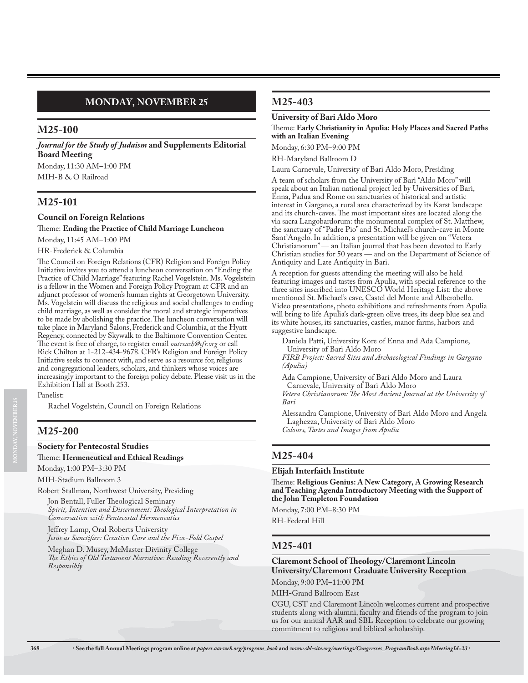# **MONDAY, NOVEMBER 25**

## **M25-100**

*Journal for the Study of Judaism* **and Supplements Editorial Board Meeting**

Monday, 11:30 AM–1:00 PM MIH-B & O Railroad

## **M25-101**

#### **Council on Foreign Relations**

Theme: **Ending the Practice of Child Marriage Luncheon**

Monday, 11:45 AM–1:00 PM

HR-Frederick & Columbia

The Council on Foreign Relations (CFR) Religion and Foreign Policy Initiative invites you to attend a luncheon conversation on "Ending the Practice of Child Marriage" featuring Rachel Vogelstein. Ms. Vogelstein is a fellow in the Women and Foreign Policy Program at CFR and an adjunct professor of women's human rights at Georgetown University. Ms. Vogelstein will discuss the religious and social challenges to ending child marriage, as well as consider the moral and strategic imperatives to be made by abolishing the practice. The luncheon conversation will take place in Maryland Salons, Frederick and Columbia, at the Hyatt Regency, connected by Skywalk to the Baltimore Convention Center. The event is free of charge, to register email *outreach@cfr.org* or call Rick Chilton at 1-212-434-9678. CFR's Religion and Foreign Policy Initiative seeks to connect with, and serve as a resource for, religious and congregational leaders, scholars, and thinkers whose voices are increasingly important to the foreign policy debate. Please visit us in the Exhibition Hall at Booth 253.

Panelist:

Rachel Vogelstein, Council on Foreign Relations

### **M25-200**

#### **Society for Pentecostal Studies**

#### Theme: **Hermeneutical and Ethical Readings**

Monday, 1:00 PM–3:30 PM

MIH-Stadium Ballroom 3

Robert Stallman, Northwest University, Presiding

Jon Bentall, Fuller Theological Seminary *Spirit, Intention and Discernment: Theological Interpretation in Conversation with Pentecostal Hermeneutics*

Jeffrey Lamp, Oral Roberts University *Jesus as Sanctifier: Creation Care and the Five-Fold Gospel*

Meghan D. Musey, McMaster Divinity College *The Ethics of Old Testament Narrative: Reading Reverently and Responsibly* 

## **M25-403**

#### **University of Bari Aldo Moro**

#### Theme: **Early Christianity in Apulia: Holy Places and Sacred Paths with an Italian Evening**

Monday, 6:30 PM–9:00 PM

RH-Maryland Ballroom D

Laura Carnevale, University of Bari Aldo Moro, Presiding

A team of scholars from the University of Bari "Aldo Moro" will speak about an Italian national project led by Universities of Bari, Enna, Padua and Rome on sanctuaries of historical and artistic interest in Gargano, a rural area characterized by its Karst landscape and its church-caves. The most important sites are located along the via sacra Langobardorum: the monumental complex of St. Matthew, the sanctuary of "Padre Pio" and St. Michael's church-cave in Monte Sant'Angelo. In addition, a presentation will be given on "Vetera Christianorum" — an Italian journal that has been devoted to Early Christian studies for 50 years — and on the Department of Science of Antiquity and Late Antiquity in Bari.

A reception for guests attending the meeting will also be held featuring images and tastes from Apulia, with special reference to the three sites inscribed into UNESCO World Heritage List: the above mentioned St. Michael's cave, Castel del Monte and Alberobello. Video presentations, photo exhibitions and refreshments from Apulia will bring to life Apulia's dark-green olive trees, its deep blue sea and its white houses, its sanctuaries, castles, manor farms, harbors and suggestive landscape.

Daniela Patti, University Kore of Enna and Ada Campione, University of Bari Aldo Moro

*FIRB Project: Sacred Sites and Archaeological Findings in Gargano (Apulia)*

Ada Campione, University of Bari Aldo Moro and Laura Carnevale, University of Bari Aldo Moro

*Vetera Christianorum: The Most Ancient Journal at the University of Bari*

Alessandra Campione, University of Bari Aldo Moro and Angela Laghezza, University of Bari Aldo Moro *Colours, Tastes and Images from Apulia*

### **M25-404**

#### **Elijah Interfaith Institute**

Theme: **Religious Genius: A New Category, A Growing Research and Teaching Agenda Introductory Meeting with the Support of the John Templeton Foundation**

Monday, 7:00 PM–8:30 PM

RH-Federal Hill

## **M25-401**

### **Claremont School of Theology/Claremont Lincoln University/Claremont Graduate University Reception**

Monday, 9:00 PM–11:00 PM

MIH-Grand Ballroom East

CGU, CST and Claremont Lincoln welcomes current and prospective students along with alumni, faculty and friends of the program to join us for our annual AAR and SBL Reception to celebrate our growing commitment to religious and biblical scholarship.